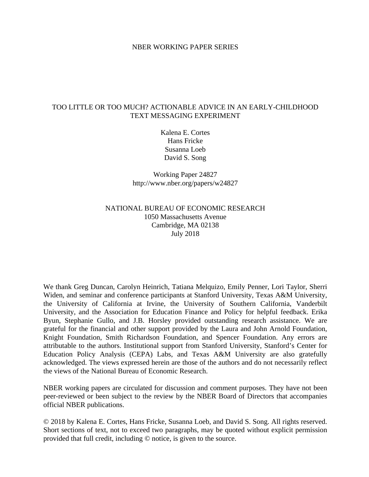#### NBER WORKING PAPER SERIES

### TOO LITTLE OR TOO MUCH? ACTIONABLE ADVICE IN AN EARLY-CHILDHOOD TEXT MESSAGING EXPERIMENT

Kalena E. Cortes Hans Fricke Susanna Loeb David S. Song

Working Paper 24827 http://www.nber.org/papers/w24827

### NATIONAL BUREAU OF ECONOMIC RESEARCH 1050 Massachusetts Avenue Cambridge, MA 02138 July 2018

We thank Greg Duncan, Carolyn Heinrich, Tatiana Melquizo, Emily Penner, Lori Taylor, Sherri Widen, and seminar and conference participants at Stanford University, Texas A&M University, the University of California at Irvine, the University of Southern California, Vanderbilt University, and the Association for Education Finance and Policy for helpful feedback. Erika Byun, Stephanie Gullo, and J.B. Horsley provided outstanding research assistance. We are grateful for the financial and other support provided by the Laura and John Arnold Foundation, Knight Foundation, Smith Richardson Foundation, and Spencer Foundation. Any errors are attributable to the authors. Institutional support from Stanford University, Stanford's Center for Education Policy Analysis (CEPA) Labs, and Texas A&M University are also gratefully acknowledged. The views expressed herein are those of the authors and do not necessarily reflect the views of the National Bureau of Economic Research.

NBER working papers are circulated for discussion and comment purposes. They have not been peer-reviewed or been subject to the review by the NBER Board of Directors that accompanies official NBER publications.

© 2018 by Kalena E. Cortes, Hans Fricke, Susanna Loeb, and David S. Song. All rights reserved. Short sections of text, not to exceed two paragraphs, may be quoted without explicit permission provided that full credit, including © notice, is given to the source.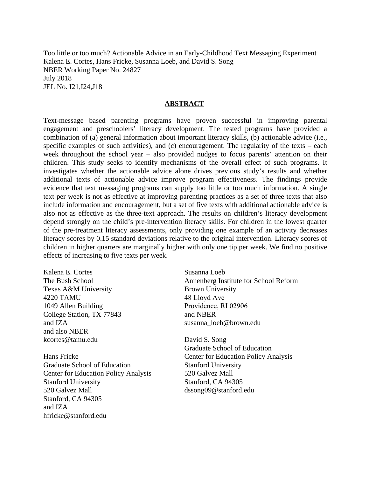Too little or too much? Actionable Advice in an Early-Childhood Text Messaging Experiment Kalena E. Cortes, Hans Fricke, Susanna Loeb, and David S. Song NBER Working Paper No. 24827 July 2018 JEL No. I21,I24,J18

### **ABSTRACT**

Text-message based parenting programs have proven successful in improving parental engagement and preschoolers' literacy development. The tested programs have provided a combination of (a) general information about important literacy skills, (b) actionable advice (i.e., specific examples of such activities), and (c) encouragement. The regularity of the texts – each week throughout the school year – also provided nudges to focus parents' attention on their children. This study seeks to identify mechanisms of the overall effect of such programs. It investigates whether the actionable advice alone drives previous study's results and whether additional texts of actionable advice improve program effectiveness. The findings provide evidence that text messaging programs can supply too little or too much information. A single text per week is not as effective at improving parenting practices as a set of three texts that also include information and encouragement, but a set of five texts with additional actionable advice is also not as effective as the three-text approach. The results on children's literacy development depend strongly on the child's pre-intervention literacy skills. For children in the lowest quarter of the pre-treatment literacy assessments, only providing one example of an activity decreases literacy scores by 0.15 standard deviations relative to the original intervention. Literacy scores of children in higher quarters are marginally higher with only one tip per week. We find no positive effects of increasing to five texts per week.

Kalena E. Cortes The Bush School Texas A&M University 4220 TAMU 1049 Allen Building College Station, TX 77843 and IZA and also NBER kcortes@tamu.edu

Hans Fricke Graduate School of Education Center for Education Policy Analysis Stanford University 520 Galvez Mall Stanford, CA 94305 and IZA hfricke@stanford.edu

Susanna Loeb Annenberg Institute for School Reform Brown University 48 Lloyd Ave Providence, RI 02906 and NBER susanna\_loeb@brown.edu

David S. Song Graduate School of Education Center for Education Policy Analysis Stanford University 520 Galvez Mall Stanford, CA 94305 dssong09@stanford.edu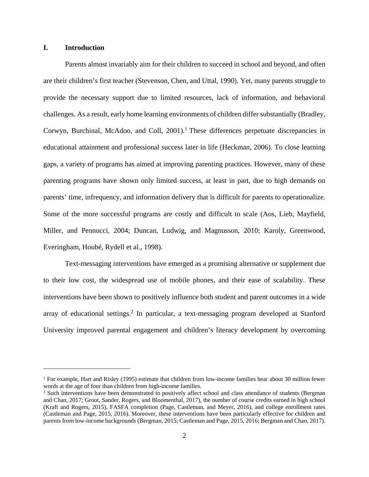### **I. Introduction**

1

Parents almost invariably aim for their children to succeed in school and beyond, and often are their children's first teacher (Stevenson, Chen, and Uttal, 1990). Yet, many parents struggle to provide the necessary support due to limited resources, lack of information, and behavioral challenges. As a result, early home learning environments of children differ substantially (Bradley, Corwyn, Burchinal, McAdoo, and Coll, 2001).<sup>1</sup> These differences perpetuate discrepancies in educational attainment and professional success later in life (Heckman, 2006). To close learning gaps, a variety of programs has aimed at improving parenting practices. However, many of these parenting programs have shown only limited success, at least in part, due to high demands on parents' time, infrequency, and information delivery that is difficult for parents to operationalize. Some of the more successful programs are costly and difficult to scale (Aos, Lieb, Mayfield, Miller, and Pennucci, 2004; Duncan, Ludwig, and Magnusson, 2010; Karoly, Greenwood, Everingham, Houbé, Rydell et al., 1998).

Text-messaging interventions have emerged as a promising alternative or supplement due to their low cost, the widespread use of mobile phones, and their ease of scalability. These interventions have been shown to positively influence both student and parent outcomes in a wide array of educational settings.<sup>2</sup> In particular, a text-messaging program developed at Stanford University improved parental engagement and children's literacy development by overcoming

<sup>&</sup>lt;sup>1</sup> For example, Hart and Risley (1995) estimate that children from low-income families hear about 30 million fewer words at the age of four than children from high-income families.

<sup>&</sup>lt;sup>2</sup> Such interventions have been demonstrated to positively affect school and class attendance of students (Bergman and Chan, 2017; Groot, Sander, Rogers, and Bloomenthal, 2017), the number of course credits earned in high school (Kraft and Rogers, 2015), FASFA completion (Page, Castleman, and Meyer, 2016), and college enrollment rates (Castleman and Page, 2015, 2016). Moreover, these interventions have been particularly effective for children and parents from low-income backgrounds (Bergman, 2015; Castleman and Page, 2015, 2016; Bergman and Chan, 2017).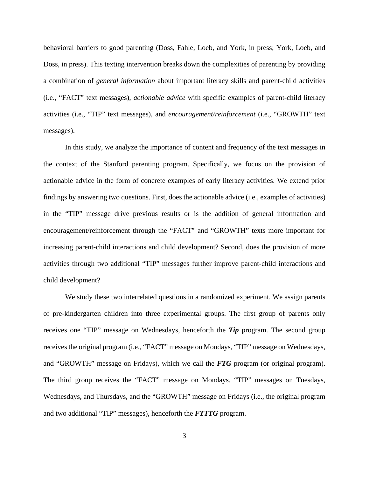behavioral barriers to good parenting (Doss, Fahle, Loeb, and York, in press; York, Loeb, and Doss, in press). This texting intervention breaks down the complexities of parenting by providing a combination of *general information* about important literacy skills and parent-child activities (i.e., "FACT" text messages), *actionable advice* with specific examples of parent-child literacy activities (i.e., "TIP" text messages), and *encouragement/reinforcement* (i.e., "GROWTH" text messages).

In this study, we analyze the importance of content and frequency of the text messages in the context of the Stanford parenting program. Specifically, we focus on the provision of actionable advice in the form of concrete examples of early literacy activities. We extend prior findings by answering two questions. First, does the actionable advice (i.e., examples of activities) in the "TIP" message drive previous results or is the addition of general information and encouragement/reinforcement through the "FACT" and "GROWTH" texts more important for increasing parent-child interactions and child development? Second, does the provision of more activities through two additional "TIP" messages further improve parent-child interactions and child development?

We study these two interrelated questions in a randomized experiment. We assign parents of pre-kindergarten children into three experimental groups. The first group of parents only receives one "TIP" message on Wednesdays, henceforth the *Tip* program. The second group receives the original program (i.e., "FACT" message on Mondays, "TIP" message on Wednesdays, and "GROWTH" message on Fridays), which we call the *FTG* program (or original program). The third group receives the "FACT" message on Mondays, "TIP" messages on Tuesdays, Wednesdays, and Thursdays, and the "GROWTH" message on Fridays (i.e., the original program and two additional "TIP" messages), henceforth the *FTTTG* program.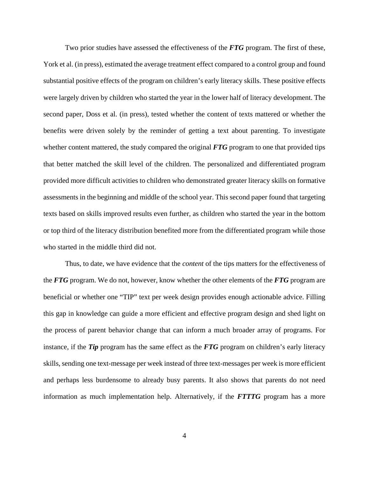Two prior studies have assessed the effectiveness of the *FTG* program. The first of these, York et al. (in press), estimated the average treatment effect compared to a control group and found substantial positive effects of the program on children's early literacy skills. These positive effects were largely driven by children who started the year in the lower half of literacy development. The second paper, Doss et al. (in press), tested whether the content of texts mattered or whether the benefits were driven solely by the reminder of getting a text about parenting. To investigate whether content mattered, the study compared the original *FTG* program to one that provided tips that better matched the skill level of the children. The personalized and differentiated program provided more difficult activities to children who demonstrated greater literacy skills on formative assessments in the beginning and middle of the school year. This second paper found that targeting texts based on skills improved results even further, as children who started the year in the bottom or top third of the literacy distribution benefited more from the differentiated program while those who started in the middle third did not.

Thus, to date, we have evidence that the *content* of the tips matters for the effectiveness of the *FTG* program. We do not, however, know whether the other elements of the *FTG* program are beneficial or whether one "TIP" text per week design provides enough actionable advice. Filling this gap in knowledge can guide a more efficient and effective program design and shed light on the process of parent behavior change that can inform a much broader array of programs. For instance, if the *Tip* program has the same effect as the *FTG* program on children's early literacy skills, sending one text-message per week instead of three text-messages per week is more efficient and perhaps less burdensome to already busy parents. It also shows that parents do not need information as much implementation help. Alternatively, if the *FTTTG* program has a more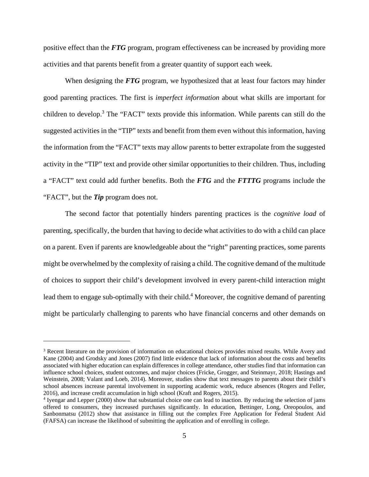positive effect than the *FTG* program, program effectiveness can be increased by providing more activities and that parents benefit from a greater quantity of support each week.

When designing the **FTG** program, we hypothesized that at least four factors may hinder good parenting practices. The first is *imperfect information* about what skills are important for children to develop.<sup>3</sup> The "FACT" texts provide this information. While parents can still do the suggested activities in the "TIP" texts and benefit from them even without this information, having the information from the "FACT" texts may allow parents to better extrapolate from the suggested activity in the "TIP" text and provide other similar opportunities to their children. Thus, including a "FACT" text could add further benefits. Both the *FTG* and the *FTTTG* programs include the "FACT", but the *Tip* program does not.

The second factor that potentially hinders parenting practices is the *cognitive load* of parenting, specifically, the burden that having to decide what activities to do with a child can place on a parent. Even if parents are knowledgeable about the "right" parenting practices, some parents might be overwhelmed by the complexity of raising a child. The cognitive demand of the multitude of choices to support their child's development involved in every parent-child interaction might lead them to engage sub-optimally with their child.<sup>4</sup> Moreover, the cognitive demand of parenting might be particularly challenging to parents who have financial concerns and other demands on

<sup>&</sup>lt;sup>3</sup> Recent literature on the provision of information on educational choices provides mixed results. While Avery and Kane (2004) and Grodsky and Jones (2007) find little evidence that lack of information about the costs and benefits associated with higher education can explain differences in college attendance, other studies find that information can influence school choices, student outcomes, and major choices (Fricke, Grogger, and Steinmayr, 2018; Hastings and Weinstein, 2008; Valant and Loeb, 2014). Moreover, studies show that text messages to parents about their child's school absences increase parental involvement in supporting academic work, reduce absences (Rogers and Feller, 2016), and increase credit accumulation in high school (Kraft and Rogers, 2015).

<sup>&</sup>lt;sup>4</sup> Iyengar and Lepper (2000) show that substantial choice one can lead to inaction. By reducing the selection of jams offered to consumers, they increased purchases significantly. In education, Bettinger, Long, Oreopoulos, and Sanbonmatsu (2012) show that assistance in filling out the complex Free Application for Federal Student Aid (FAFSA) can increase the likelihood of submitting the application and of enrolling in college.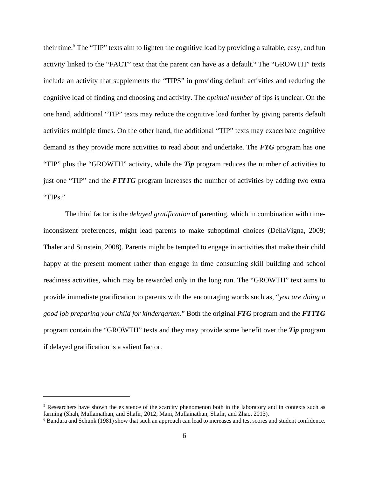their time.<sup>5</sup> The "TIP" texts aim to lighten the cognitive load by providing a suitable, easy, and fun activity linked to the "FACT" text that the parent can have as a default.<sup>6</sup> The "GROWTH" texts include an activity that supplements the "TIPS" in providing default activities and reducing the cognitive load of finding and choosing and activity. The *optimal number* of tips is unclear. On the one hand, additional "TIP" texts may reduce the cognitive load further by giving parents default activities multiple times. On the other hand, the additional "TIP" texts may exacerbate cognitive demand as they provide more activities to read about and undertake. The *FTG* program has one "TIP" plus the "GROWTH" activity, while the *Tip* program reduces the number of activities to just one "TIP" and the **FTTTG** program increases the number of activities by adding two extra "TIPs."

The third factor is the *delayed gratification* of parenting, which in combination with timeinconsistent preferences, might lead parents to make suboptimal choices (DellaVigna, 2009; Thaler and Sunstein, 2008). Parents might be tempted to engage in activities that make their child happy at the present moment rather than engage in time consuming skill building and school readiness activities, which may be rewarded only in the long run. The "GROWTH" text aims to provide immediate gratification to parents with the encouraging words such as, "*you are doing a good job preparing your child for kindergarten*." Both the original *FTG* program and the *FTTTG* program contain the "GROWTH" texts and they may provide some benefit over the *Tip* program if delayed gratification is a salient factor.

<sup>&</sup>lt;sup>5</sup> Researchers have shown the existence of the scarcity phenomenon both in the laboratory and in contexts such as farming (Shah, Mullainathan, and Shafir, 2012; Mani, Mullainathan, Shafir, and Zhao, 2013).

<sup>&</sup>lt;sup>6</sup> Bandura and Schunk (1981) show that such an approach can lead to increases and test scores and student confidence.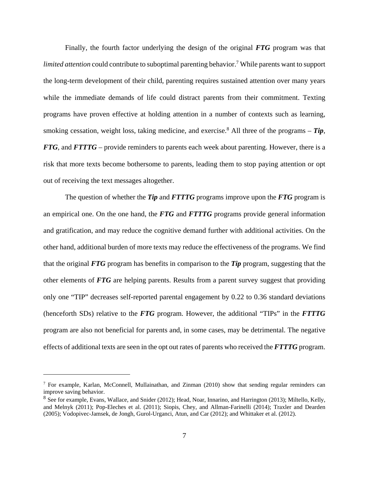Finally, the fourth factor underlying the design of the original *FTG* program was that limited attention could contribute to suboptimal parenting behavior.<sup>7</sup> While parents want to support the long-term development of their child, parenting requires sustained attention over many years while the immediate demands of life could distract parents from their commitment. Texting programs have proven effective at holding attention in a number of contexts such as learning, smoking cessation, weight loss, taking medicine, and exercise.<sup>8</sup> All three of the programs –  $Tip$ , *FTG*, and *FTTTG* – provide reminders to parents each week about parenting. However, there is a risk that more texts become bothersome to parents, leading them to stop paying attention or opt out of receiving the text messages altogether.

The question of whether the *Tip* and *FTTTG* programs improve upon the *FTG* program is an empirical one. On the one hand, the *FTG* and *FTTTG* programs provide general information and gratification, and may reduce the cognitive demand further with additional activities. On the other hand, additional burden of more texts may reduce the effectiveness of the programs. We find that the original *FTG* program has benefits in comparison to the *Tip* program, suggesting that the other elements of *FTG* are helping parents. Results from a parent survey suggest that providing only one "TIP" decreases self-reported parental engagement by 0.22 to 0.36 standard deviations (henceforth SDs) relative to the *FTG* program. However, the additional "TIPs" in the *FTTTG* program are also not beneficial for parents and, in some cases, may be detrimental. The negative effects of additional texts are seen in the opt out rates of parents who received the *FTTTG* program.

<sup>&</sup>lt;sup>7</sup> For example, Karlan, McConnell, Mullainathan, and Zinman (2010) show that sending regular reminders can improve saving behavior.

<sup>&</sup>lt;sup>8</sup> See for example, Evans, Wallace, and Snider (2012); Head, Noar, Innarino, and Harrington (2013); Miltello, Kelly, and Melnyk (2011); Pop-Eleches et al. (2011); Siopis, Chey, and Allman-Farinelli (2014); Traxler and Dearden (2005); Vodopivec-Jamsek, de Jongh, Gurol-Urganci, Atun, and Car (2012); and Whittaker et al. (2012).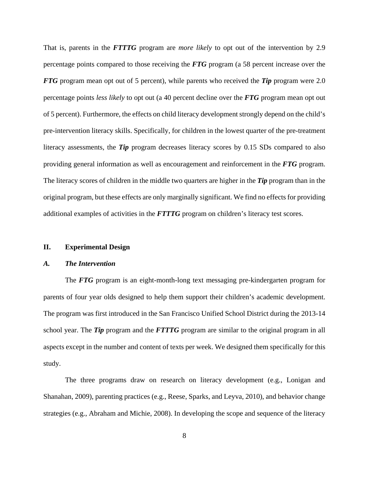That is, parents in the *FTTTG* program are *more likely* to opt out of the intervention by 2.9 percentage points compared to those receiving the *FTG* program (a 58 percent increase over the *FTG* program mean opt out of 5 percent), while parents who received the *Tip* program were 2.0 percentage points *less likely* to opt out (a 40 percent decline over the *FTG* program mean opt out of 5 percent). Furthermore, the effects on child literacy development strongly depend on the child's pre-intervention literacy skills. Specifically, for children in the lowest quarter of the pre-treatment literacy assessments, the *Tip* program decreases literacy scores by 0.15 SDs compared to also providing general information as well as encouragement and reinforcement in the *FTG* program. The literacy scores of children in the middle two quarters are higher in the *Tip* program than in the original program, but these effects are only marginally significant. We find no effects for providing additional examples of activities in the *FTTTG* program on children's literacy test scores.

#### **II. Experimental Design**

#### *A. The Intervention*

The *FTG* program is an eight-month-long text messaging pre-kindergarten program for parents of four year olds designed to help them support their children's academic development. The program was first introduced in the San Francisco Unified School District during the 2013-14 school year. The *Tip* program and the *FTTTG* program are similar to the original program in all aspects except in the number and content of texts per week. We designed them specifically for this study.

The three programs draw on research on literacy development (e.g., Lonigan and Shanahan, 2009), parenting practices (e.g., Reese, Sparks, and Leyva, 2010), and behavior change strategies (e.g., Abraham and Michie, 2008). In developing the scope and sequence of the literacy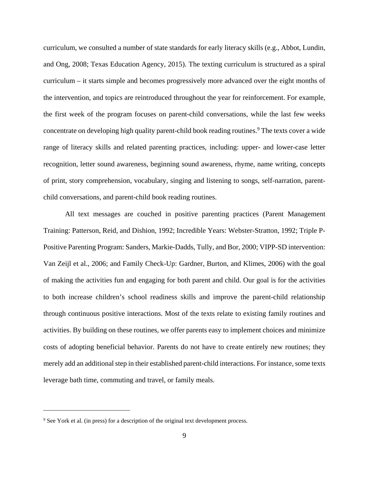curriculum, we consulted a number of state standards for early literacy skills (e.g., Abbot, Lundin, and Ong, 2008; Texas Education Agency, 2015). The texting curriculum is structured as a spiral curriculum – it starts simple and becomes progressively more advanced over the eight months of the intervention, and topics are reintroduced throughout the year for reinforcement. For example, the first week of the program focuses on parent-child conversations, while the last few weeks concentrate on developing high quality parent-child book reading routines.<sup>9</sup> The texts cover a wide range of literacy skills and related parenting practices, including: upper- and lower-case letter recognition, letter sound awareness, beginning sound awareness, rhyme, name writing, concepts of print, story comprehension, vocabulary, singing and listening to songs, self-narration, parentchild conversations, and parent-child book reading routines.

All text messages are couched in positive parenting practices (Parent Management Training: Patterson, Reid, and Dishion, 1992; Incredible Years: Webster-Stratton, 1992; Triple P-Positive Parenting Program: Sanders, Markie-Dadds, Tully, and Bor, 2000; VIPP-SD intervention: Van Zeijl et al., 2006; and Family Check-Up: Gardner, Burton, and Klimes, 2006) with the goal of making the activities fun and engaging for both parent and child. Our goal is for the activities to both increase children's school readiness skills and improve the parent-child relationship through continuous positive interactions. Most of the texts relate to existing family routines and activities. By building on these routines, we offer parents easy to implement choices and minimize costs of adopting beneficial behavior. Parents do not have to create entirely new routines; they merely add an additional step in their established parent-child interactions. For instance, some texts leverage bath time, commuting and travel, or family meals.

<sup>&</sup>lt;sup>9</sup> See York et al. (in press) for a description of the original text development process.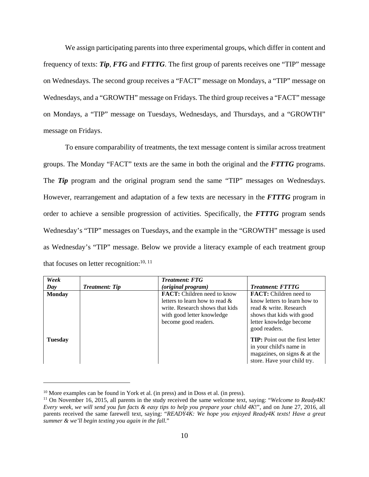We assign participating parents into three experimental groups, which differ in content and frequency of texts: *Tip*, *FTG* and *FTTTG*. The first group of parents receives one "TIP" message on Wednesdays. The second group receives a "FACT" message on Mondays, a "TIP" message on Wednesdays, and a "GROWTH" message on Fridays. The third group receives a "FACT" message on Mondays, a "TIP" message on Tuesdays, Wednesdays, and Thursdays, and a "GROWTH" message on Fridays.

To ensure comparability of treatments, the text message content is similar across treatment groups. The Monday "FACT" texts are the same in both the original and the *FTTTG* programs. The *Tip* program and the original program send the same "TIP" messages on Wednesdays. However, rearrangement and adaptation of a few texts are necessary in the *FTTTG* program in order to achieve a sensible progression of activities. Specifically, the *FTTTG* program sends Wednesday's "TIP" messages on Tuesdays, and the example in the "GROWTH" message is used as Wednesday's "TIP" message. Below we provide a literacy example of each treatment group that focuses on letter recognition:  $10, 11$ 

| Week           |                       | <b>Treatment: FTG</b>                                                                                                                                            |                                                                                                                                                                  |
|----------------|-----------------------|------------------------------------------------------------------------------------------------------------------------------------------------------------------|------------------------------------------------------------------------------------------------------------------------------------------------------------------|
| Day            | <b>Treatment: Tip</b> | (original program)                                                                                                                                               | <b>Treatment: FTTTG</b>                                                                                                                                          |
| <b>Monday</b>  |                       | <b>FACT:</b> Children need to know<br>letters to learn how to read $\&$<br>write. Research shows that kids<br>with good letter knowledge<br>become good readers. | <b>FACT:</b> Children need to<br>know letters to learn how to<br>read & write. Research<br>shows that kids with good<br>letter knowledge become<br>good readers. |
| <b>Tuesday</b> |                       |                                                                                                                                                                  | <b>TIP:</b> Point out the first letter<br>in your child's name in<br>magazines, on signs $&$ at the<br>store. Have your child try.                               |

<sup>&</sup>lt;sup>10</sup> More examples can be found in York et al. (in press) and in Doss et al. (in press).<br><sup>11</sup> On November 16, 2015, all parents in the study received the same welcome text, saying: "*Welcome to Ready4K! Every week, we will send you fun facts & easy tips to help you prepare your child 4K*!", and on June 27, 2016, all parents received the same farewell text, saying: "*READY4K: We hope you enjoyed Ready4K texts! Have a great summer & we'll begin texting you again in the fall*."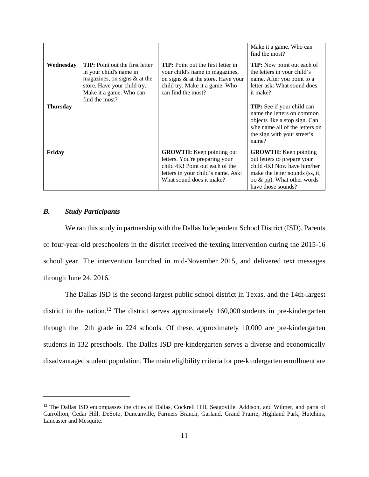|                 |                                                                                                                                                                                  |                                                                                                                                                                            | Make it a game. Who can<br>find the most?                                                                                                                                           |
|-----------------|----------------------------------------------------------------------------------------------------------------------------------------------------------------------------------|----------------------------------------------------------------------------------------------------------------------------------------------------------------------------|-------------------------------------------------------------------------------------------------------------------------------------------------------------------------------------|
| Wednesday       | <b>TIP:</b> Point out the first letter<br>in your child's name in<br>magazines, on signs $\&$ at the<br>store. Have your child try.<br>Make it a game. Who can<br>find the most? | <b>TIP:</b> Point out the first letter in<br>your child's name in magazines,<br>on signs & at the store. Have your<br>child try. Make it a game. Who<br>can find the most? | <b>TIP:</b> Now point out each of<br>the letters in your child's<br>name. After you point to a<br>letter ask: What sound does<br>it make?                                           |
| <b>Thursday</b> |                                                                                                                                                                                  |                                                                                                                                                                            | <b>TIP:</b> See if your child can<br>name the letters on common<br>objects like a stop sign. Can<br>s/he name all of the letters on<br>the sign with your street's<br>name?         |
| Friday          |                                                                                                                                                                                  | <b>GROWTH:</b> Keep pointing out<br>letters. You're preparing your<br>child 4K! Point out each of the<br>letters in your child's name. Ask:<br>What sound does it make?    | <b>GROWTH:</b> Keep pointing<br>out letters to prepare your<br>child 4K! Now have him/her<br>make the letter sounds (ss, tt,<br>oo $\&$ pp). What other words<br>have those sounds? |

### *B. Study Participants*

1

We ran this study in partnership with the Dallas Independent School District (ISD). Parents of four-year-old preschoolers in the district received the texting intervention during the 2015-16 school year. The intervention launched in mid-November 2015, and delivered text messages through June 24, 2016.

The Dallas ISD is the second-largest public school district in Texas, and the 14th-largest district in the nation.<sup>12</sup> The district serves approximately 160,000 students in pre-kindergarten through the 12th grade in 224 schools. Of these, approximately 10,000 are pre-kindergarten students in 132 preschools. The Dallas ISD pre-kindergarten serves a diverse and economically disadvantaged student population. The main eligibility criteria for pre-kindergarten enrollment are

<sup>&</sup>lt;sup>12</sup> The Dallas ISD encompasses the cities of Dallas, Cockrell Hill, Seagoville, Addison, and Wilmer, and parts of Carrollton, Cedar Hill, DeSoto, Duncanville, Farmers Branch, Garland, Grand Prairie, Highland Park, Hutchins, Lancaster and Mesquite.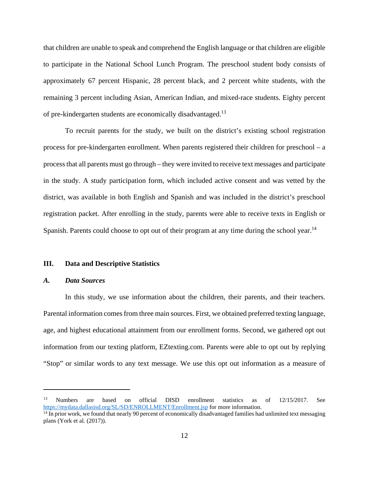that children are unable to speak and comprehend the English language or that children are eligible to participate in the National School Lunch Program. The preschool student body consists of approximately 67 percent Hispanic, 28 percent black, and 2 percent white students, with the remaining 3 percent including Asian, American Indian, and mixed-race students. Eighty percent of pre-kindergarten students are economically disadvantaged.13

To recruit parents for the study, we built on the district's existing school registration process for pre-kindergarten enrollment. When parents registered their children for preschool – a process that all parents must go through – they were invited to receive text messages and participate in the study. A study participation form, which included active consent and was vetted by the district, was available in both English and Spanish and was included in the district's preschool registration packet. After enrolling in the study, parents were able to receive texts in English or Spanish. Parents could choose to opt out of their program at any time during the school year.<sup>14</sup>

#### **III. Data and Descriptive Statistics**

### *A. Data Sources*

1

In this study, we use information about the children, their parents, and their teachers. Parental information comes from three main sources. First, we obtained preferred texting language, age, and highest educational attainment from our enrollment forms. Second, we gathered opt out information from our texting platform, EZtexting.com. Parents were able to opt out by replying "Stop" or similar words to any text message. We use this opt out information as a measure of

<sup>&</sup>lt;sup>13</sup> Numbers are based on official DISD enrollment statistics as of 12/15/2017. See https://mydata.dallasisd.org/SL/SD/ENROLLMENT/Enrollment.jsp for more information.<br><sup>14</sup> In prior work, we found that nearly 90 percent of economically disadvantaged families had unlimited text messaging

plans (York et al. (2017)).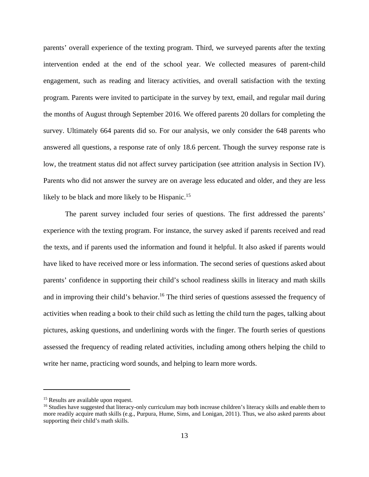parents' overall experience of the texting program. Third, we surveyed parents after the texting intervention ended at the end of the school year. We collected measures of parent-child engagement, such as reading and literacy activities, and overall satisfaction with the texting program. Parents were invited to participate in the survey by text, email, and regular mail during the months of August through September 2016. We offered parents 20 dollars for completing the survey. Ultimately 664 parents did so. For our analysis, we only consider the 648 parents who answered all questions, a response rate of only 18.6 percent. Though the survey response rate is low, the treatment status did not affect survey participation (see attrition analysis in Section IV). Parents who did not answer the survey are on average less educated and older, and they are less likely to be black and more likely to be Hispanic.<sup>15</sup>

The parent survey included four series of questions. The first addressed the parents' experience with the texting program. For instance, the survey asked if parents received and read the texts, and if parents used the information and found it helpful. It also asked if parents would have liked to have received more or less information. The second series of questions asked about parents' confidence in supporting their child's school readiness skills in literacy and math skills and in improving their child's behavior.<sup>16</sup> The third series of questions assessed the frequency of activities when reading a book to their child such as letting the child turn the pages, talking about pictures, asking questions, and underlining words with the finger. The fourth series of questions assessed the frequency of reading related activities, including among others helping the child to write her name, practicing word sounds, and helping to learn more words.

<sup>15</sup> Results are available upon request.

<sup>&</sup>lt;sup>16</sup> Studies have suggested that literacy-only curriculum may both increase children's literacy skills and enable them to more readily acquire math skills (e.g., Purpura, Hume, Sims, and Lonigan, 2011). Thus, we also asked parents about supporting their child's math skills.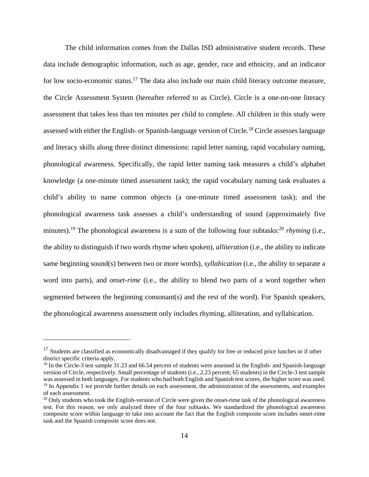The child information comes from the Dallas ISD administrative student records. These data include demographic information, such as age, gender, race and ethnicity, and an indicator for low socio-economic status.<sup>17</sup> The data also include our main child literacy outcome measure, the Circle Assessment System (hereafter referred to as Circle). Circle is a one-on-one literacy assessment that takes less than ten minutes per child to complete. All children in this study were assessed with either the English- or Spanish-language version of Circle.18 Circle assesses language and literacy skills along three distinct dimensions: rapid letter naming, rapid vocabulary naming, phonological awareness. Specifically, the rapid letter naming task measures a child's alphabet knowledge (a one-minute timed assessment task); the rapid vocabulary naming task evaluates a child's ability to name common objects (a one-minute timed assessment task); and the phonological awareness task assesses a child's understanding of sound (approximately five minutes).<sup>19</sup> The phonological awareness is a sum of the following four subtasks:<sup>20</sup> *rhyming* (i.e., the ability to distinguish if two words rhyme when spoken), *alliteration* (i.e., the ability to indicate same beginning sound(s) between two or more words), *syllabication* (i.e., the ability to separate a word into parts), and *onset-rime* (i.e., the ability to blend two parts of a word together when segmented between the beginning consonant(s) and the rest of the word). For Spanish speakers, the phonological awareness assessment only includes rhyming, alliteration, and syllabication.

 $17$  Students are classified as economically disadvantaged if they qualify for free or reduced price lunches or if other district specific criteria apply.

<sup>&</sup>lt;sup>18</sup> In the Circle-3 test sample 31.23 and 66.54 percent of students were assessed in the English- and Spanish-language version of Circle, respectively. Small percentage of students (i.e., 2.23 percent; 65 students) in the Circle-3 test sample was assessed in both languages. For students who had both English and Spanish test scores, the higher score was used.  $<sup>19</sup>$  In Appendix 1 we provide further details on each assessment, the administration of the assessments, and examples</sup> of each assessment.

<sup>&</sup>lt;sup>20</sup> Only students who took the English-version of Circle were given the onset-rime task of the phonological awareness test. For this reason, we only analyzed three of the four subtasks. We standardized the phonological awareness composite score within language to take into account the fact that the English composite score includes onset-rime task and the Spanish composite score does not.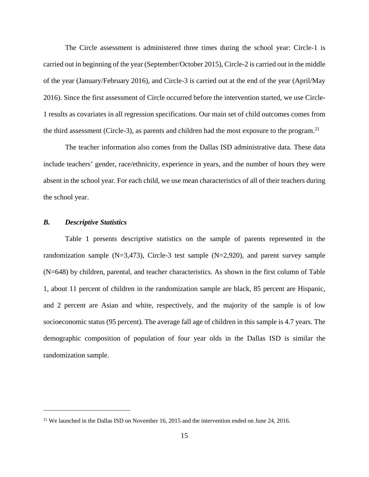The Circle assessment is administered three times during the school year: Circle-1 is carried out in beginning of the year (September/October 2015), Circle-2 is carried out in the middle of the year (January/February 2016), and Circle-3 is carried out at the end of the year (April/May 2016). Since the first assessment of Circle occurred before the intervention started, we use Circle-1 results as covariates in all regression specifications. Our main set of child outcomes comes from the third assessment (Circle-3), as parents and children had the most exposure to the program.<sup>21</sup>

The teacher information also comes from the Dallas ISD administrative data. These data include teachers' gender, race/ethnicity, experience in years, and the number of hours they were absent in the school year. For each child, we use mean characteristics of all of their teachers during the school year.

### *B. Descriptive Statistics*

 $\overline{a}$ 

Table 1 presents descriptive statistics on the sample of parents represented in the randomization sample  $(N=3,473)$ , Circle-3 test sample  $(N=2,920)$ , and parent survey sample (N=648) by children, parental, and teacher characteristics. As shown in the first column of Table 1, about 11 percent of children in the randomization sample are black, 85 percent are Hispanic, and 2 percent are Asian and white, respectively, and the majority of the sample is of low socioeconomic status (95 percent). The average fall age of children in this sample is 4.7 years. The demographic composition of population of four year olds in the Dallas ISD is similar the randomization sample.

<sup>&</sup>lt;sup>21</sup> We launched in the Dallas ISD on November 16, 2015 and the intervention ended on June 24, 2016.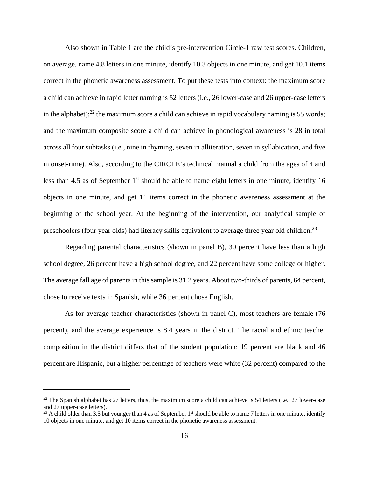Also shown in Table 1 are the child's pre-intervention Circle-1 raw test scores. Children, on average, name 4.8 letters in one minute, identify 10.3 objects in one minute, and get 10.1 items correct in the phonetic awareness assessment. To put these tests into context: the maximum score a child can achieve in rapid letter naming is 52 letters (i.e., 26 lower-case and 26 upper-case letters in the alphabet);<sup>22</sup> the maximum score a child can achieve in rapid vocabulary naming is 55 words; and the maximum composite score a child can achieve in phonological awareness is 28 in total across all four subtasks (i.e., nine in rhyming, seven in alliteration, seven in syllabication, and five in onset-rime). Also, according to the CIRCLE's technical manual a child from the ages of 4 and less than 4.5 as of September  $1<sup>st</sup>$  should be able to name eight letters in one minute, identify 16 objects in one minute, and get 11 items correct in the phonetic awareness assessment at the beginning of the school year. At the beginning of the intervention, our analytical sample of preschoolers (four year olds) had literacy skills equivalent to average three year old children.<sup>23</sup>

Regarding parental characteristics (shown in panel B), 30 percent have less than a high school degree, 26 percent have a high school degree, and 22 percent have some college or higher. The average fall age of parents in this sample is 31.2 years. About two-thirds of parents, 64 percent, chose to receive texts in Spanish, while 36 percent chose English.

As for average teacher characteristics (shown in panel C), most teachers are female (76 percent), and the average experience is 8.4 years in the district. The racial and ethnic teacher composition in the district differs that of the student population: 19 percent are black and 46 percent are Hispanic, but a higher percentage of teachers were white (32 percent) compared to the

 $22$  The Spanish alphabet has 27 letters, thus, the maximum score a child can achieve is 54 letters (i.e., 27 lower-case and 27 upper-case letters).

<sup>&</sup>lt;sup>23</sup> A child older than 3.5 but younger than 4 as of September 1<sup>st</sup> should be able to name 7 letters in one minute, identify 10 objects in one minute, and get 10 items correct in the phonetic awareness assessment.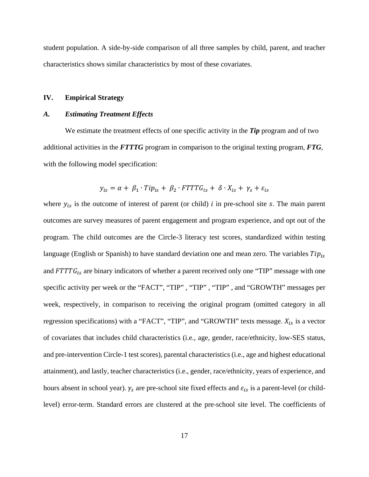student population. A side-by-side comparison of all three samples by child, parent, and teacher characteristics shows similar characteristics by most of these covariates.

#### **IV. Empirical Strategy**

#### *A. Estimating Treatment Effects*

We estimate the treatment effects of one specific activity in the *Tip* program and of two additional activities in the *FTTTG* program in comparison to the original texting program, *FTG,* with the following model specification:

$$
y_{is} = \alpha + \beta_1 \cdot Tip_{is} + \beta_2 \cdot FTTT G_{is} + \delta \cdot X_{is} + \gamma_s + \varepsilon_{is}
$$

where  $y_{is}$  is the outcome of interest of parent (or child) i in pre-school site s. The main parent outcomes are survey measures of parent engagement and program experience, and opt out of the program. The child outcomes are the Circle-3 literacy test scores, standardized within testing language (English or Spanish) to have standard deviation one and mean zero. The variables  $Tip_{is}$ and  $FTTTG_{is}$  are binary indicators of whether a parent received only one "TIP" message with one specific activity per week or the "FACT", "TIP" , "TIP" , "TIP" , and "GROWTH" messages per week, respectively, in comparison to receiving the original program (omitted category in all regression specifications) with a "FACT", "TIP", and "GROWTH" texts message.  $X_{is}$  is a vector of covariates that includes child characteristics (i.e., age, gender, race/ethnicity, low-SES status, and pre-intervention Circle-1 test scores), parental characteristics (i.e., age and highest educational attainment), and lastly, teacher characteristics (i.e., gender, race/ethnicity, years of experience, and hours absent in school year).  $\gamma_s$  are pre-school site fixed effects and  $\varepsilon_{is}$  is a parent-level (or childlevel) error-term. Standard errors are clustered at the pre-school site level. The coefficients of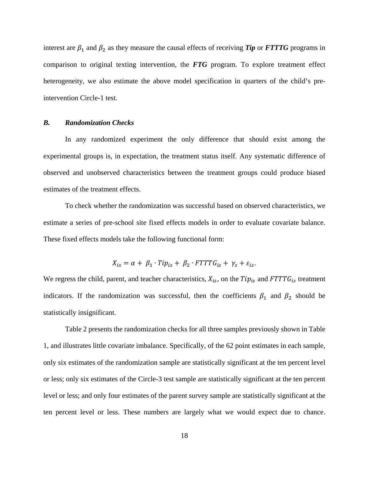interest are  $\beta_1$  and  $\beta_2$  as they measure the causal effects of receiving *Tip* or *FTTTG* programs in comparison to original texting intervention, the *FTG* program. To explore treatment effect heterogeneity, we also estimate the above model specification in quarters of the child's preintervention Circle-1 test.

#### *B. Randomization Checks*

In any randomized experiment the only difference that should exist among the experimental groups is, in expectation, the treatment status itself. Any systematic difference of observed and unobserved characteristics between the treatment groups could produce biased estimates of the treatment effects.

To check whether the randomization was successful based on observed characteristics, we estimate a series of pre-school site fixed effects models in order to evaluate covariate balance. These fixed effects models take the following functional form:

$$
X_{is} = \alpha + \beta_1 \cdot Tip_{is} + \beta_2 \cdot FTTTG_{is} + \gamma_s + \varepsilon_{is}.
$$

We regress the child, parent, and teacher characteristics,  $X_{is}$ , on the  $Tip_{is}$  and  $FTTTG_{is}$  treatment indicators. If the randomization was successful, then the coefficients  $\beta_1$  and  $\beta_2$  should be statistically insignificant.

Table 2 presents the randomization checks for all three samples previously shown in Table 1, and illustrates little covariate imbalance. Specifically, of the 62 point estimates in each sample, only six estimates of the randomization sample are statistically significant at the ten percent level or less; only six estimates of the Circle-3 test sample are statistically significant at the ten percent level or less; and only four estimates of the parent survey sample are statistically significant at the ten percent level or less. These numbers are largely what we would expect due to chance.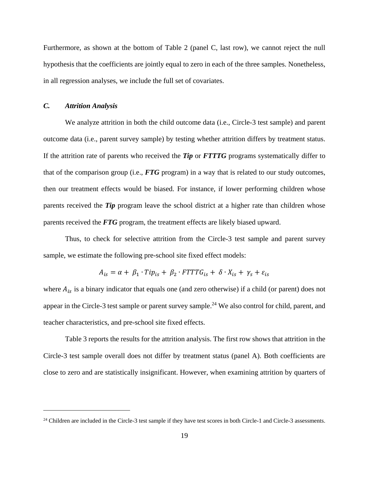Furthermore, as shown at the bottom of Table 2 (panel C, last row), we cannot reject the null hypothesis that the coefficients are jointly equal to zero in each of the three samples. Nonetheless, in all regression analyses, we include the full set of covariates.

### *C. Attrition Analysis*

1

We analyze attrition in both the child outcome data (i.e., Circle-3 test sample) and parent outcome data (i.e., parent survey sample) by testing whether attrition differs by treatment status. If the attrition rate of parents who received the *Tip* or *FTTTG* programs systematically differ to that of the comparison group (i.e., *FTG* program) in a way that is related to our study outcomes, then our treatment effects would be biased. For instance, if lower performing children whose parents received the *Tip* program leave the school district at a higher rate than children whose parents received the *FTG* program, the treatment effects are likely biased upward.

Thus, to check for selective attrition from the Circle-3 test sample and parent survey sample, we estimate the following pre-school site fixed effect models:

$$
A_{is} = \alpha + \beta_1 \cdot Tip_{is} + \beta_2 \cdot FTTT G_{is} + \delta \cdot X_{is} + \gamma_s + \varepsilon_{is}
$$

where  $A_{is}$  is a binary indicator that equals one (and zero otherwise) if a child (or parent) does not appear in the Circle-3 test sample or parent survey sample.<sup>24</sup> We also control for child, parent, and teacher characteristics, and pre-school site fixed effects.

Table 3 reports the results for the attrition analysis. The first row shows that attrition in the Circle-3 test sample overall does not differ by treatment status (panel A). Both coefficients are close to zero and are statistically insignificant. However, when examining attrition by quarters of

<sup>&</sup>lt;sup>24</sup> Children are included in the Circle-3 test sample if they have test scores in both Circle-1 and Circle-3 assessments.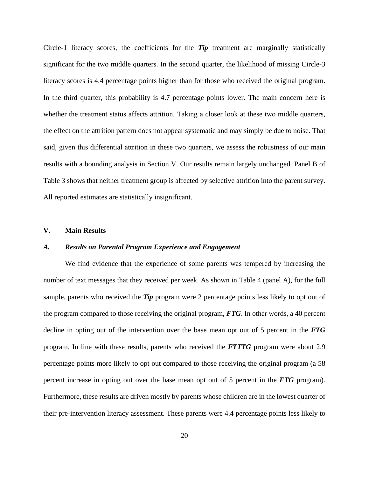Circle-1 literacy scores, the coefficients for the *Tip* treatment are marginally statistically significant for the two middle quarters. In the second quarter, the likelihood of missing Circle-3 literacy scores is 4.4 percentage points higher than for those who received the original program. In the third quarter, this probability is 4.7 percentage points lower. The main concern here is whether the treatment status affects attrition. Taking a closer look at these two middle quarters, the effect on the attrition pattern does not appear systematic and may simply be due to noise. That said, given this differential attrition in these two quarters, we assess the robustness of our main results with a bounding analysis in Section V. Our results remain largely unchanged. Panel B of Table 3 shows that neither treatment group is affected by selective attrition into the parent survey. All reported estimates are statistically insignificant.

#### **V. Main Results**

#### *A. Results on Parental Program Experience and Engagement*

We find evidence that the experience of some parents was tempered by increasing the number of text messages that they received per week. As shown in Table 4 (panel A), for the full sample, parents who received the *Tip* program were 2 percentage points less likely to opt out of the program compared to those receiving the original program, *FTG*. In other words, a 40 percent decline in opting out of the intervention over the base mean opt out of 5 percent in the *FTG* program. In line with these results, parents who received the *FTTTG* program were about 2.9 percentage points more likely to opt out compared to those receiving the original program (a 58 percent increase in opting out over the base mean opt out of 5 percent in the *FTG* program). Furthermore, these results are driven mostly by parents whose children are in the lowest quarter of their pre-intervention literacy assessment. These parents were 4.4 percentage points less likely to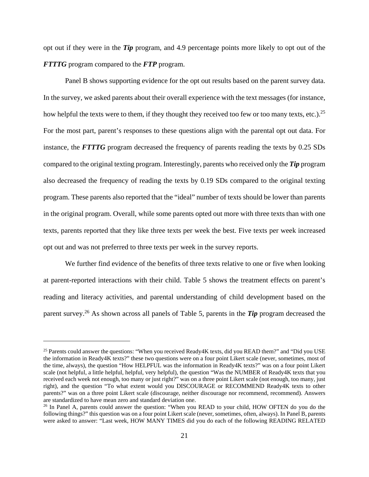opt out if they were in the *Tip* program, and 4.9 percentage points more likely to opt out of the *FTTTG* program compared to the *FTP* program.

Panel B shows supporting evidence for the opt out results based on the parent survey data. In the survey, we asked parents about their overall experience with the text messages (for instance, how helpful the texts were to them, if they thought they received too few or too many texts, etc.).<sup>25</sup> For the most part, parent's responses to these questions align with the parental opt out data. For instance, the *FTTTG* program decreased the frequency of parents reading the texts by 0.25 SDs compared to the original texting program. Interestingly, parents who received only the *Tip* program also decreased the frequency of reading the texts by 0.19 SDs compared to the original texting program. These parents also reported that the "ideal" number of texts should be lower than parents in the original program. Overall, while some parents opted out more with three texts than with one texts, parents reported that they like three texts per week the best. Five texts per week increased opt out and was not preferred to three texts per week in the survey reports.

 We further find evidence of the benefits of three texts relative to one or five when looking at parent-reported interactions with their child. Table 5 shows the treatment effects on parent's reading and literacy activities, and parental understanding of child development based on the parent survey.26 As shown across all panels of Table 5, parents in the *Tip* program decreased the

<u>.</u>

<sup>&</sup>lt;sup>25</sup> Parents could answer the questions: "When you received Ready4K texts, did you READ them?" and "Did you USE the information in Ready4K texts?" these two questions were on a four point Likert scale (never, sometimes, most of the time, always), the question "How HELPFUL was the information in Ready4K texts?" was on a four point Likert scale (not helpful, a little helpful, helpful, very helpful), the question "Was the NUMBER of Ready4K texts that you received each week not enough, too many or just right?" was on a three point Likert scale (not enough, too many, just right), and the question "To what extent would you DISCOURAGE or RECOMMEND Ready4K texts to other parents?" was on a three point Likert scale (discourage, neither discourage nor recommend, recommend). Answers are standardized to have mean zero and standard deviation one.<br><sup>26</sup> In Panel A, parents could answer the question: "When you READ to your child, HOW OFTEN do you do the

following things?" this question was on a four point Likert scale (never, sometimes, often, always). In Panel B, parents were asked to answer: "Last week, HOW MANY TIMES did you do each of the following READING RELATED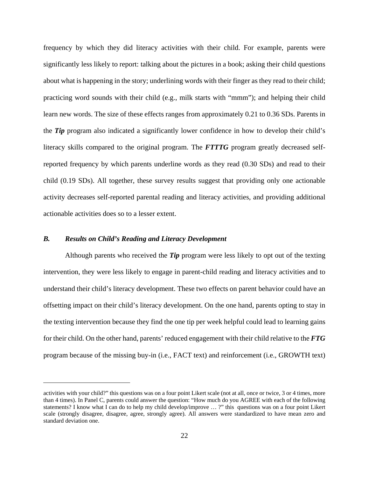frequency by which they did literacy activities with their child. For example, parents were significantly less likely to report: talking about the pictures in a book; asking their child questions about what is happening in the story; underlining words with their finger as they read to their child; practicing word sounds with their child (e.g., milk starts with "mmm"); and helping their child learn new words. The size of these effects ranges from approximately 0.21 to 0.36 SDs. Parents in the *Tip* program also indicated a significantly lower confidence in how to develop their child's literacy skills compared to the original program. The *FTTTG* program greatly decreased selfreported frequency by which parents underline words as they read (0.30 SDs) and read to their child (0.19 SDs). All together, these survey results suggest that providing only one actionable activity decreases self-reported parental reading and literacy activities, and providing additional actionable activities does so to a lesser extent.

### *B. Results on Child's Reading and Literacy Development*

<u>.</u>

Although parents who received the *Tip* program were less likely to opt out of the texting intervention, they were less likely to engage in parent-child reading and literacy activities and to understand their child's literacy development. These two effects on parent behavior could have an offsetting impact on their child's literacy development. On the one hand, parents opting to stay in the texting intervention because they find the one tip per week helpful could lead to learning gains for their child. On the other hand, parents' reduced engagement with their child relative to the *FTG* program because of the missing buy-in (i.e., FACT text) and reinforcement (i.e., GROWTH text)

activities with your child?" this questions was on a four point Likert scale (not at all, once or twice, 3 or 4 times, more than 4 times). In Panel C, parents could answer the question: "How much do you AGREE with each of the following statements? I know what I can do to help my child develop/improve ... ?" this questions was on a four point Likert scale (strongly disagree, disagree, agree, strongly agree). All answers were standardized to have mean zero and standard deviation one.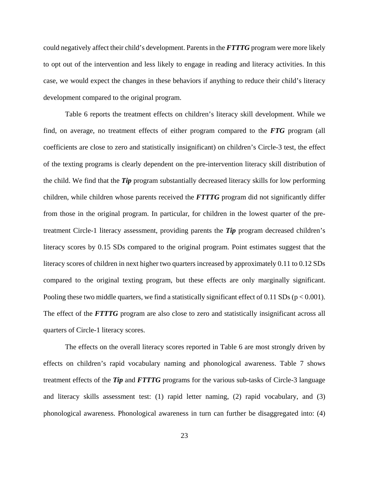could negatively affect their child's development. Parents in the *FTTTG* program were more likely to opt out of the intervention and less likely to engage in reading and literacy activities. In this case, we would expect the changes in these behaviors if anything to reduce their child's literacy development compared to the original program.

Table 6 reports the treatment effects on children's literacy skill development. While we find, on average, no treatment effects of either program compared to the *FTG* program (all coefficients are close to zero and statistically insignificant) on children's Circle-3 test, the effect of the texting programs is clearly dependent on the pre-intervention literacy skill distribution of the child. We find that the *Tip* program substantially decreased literacy skills for low performing children, while children whose parents received the *FTTTG* program did not significantly differ from those in the original program. In particular, for children in the lowest quarter of the pretreatment Circle-1 literacy assessment, providing parents the *Tip* program decreased children's literacy scores by 0.15 SDs compared to the original program. Point estimates suggest that the literacy scores of children in next higher two quarters increased by approximately 0.11 to 0.12 SDs compared to the original texting program, but these effects are only marginally significant. Pooling these two middle quarters, we find a statistically significant effect of 0.11 SDs ( $p < 0.001$ ). The effect of the *FTTTG* program are also close to zero and statistically insignificant across all quarters of Circle-1 literacy scores.

The effects on the overall literacy scores reported in Table 6 are most strongly driven by effects on children's rapid vocabulary naming and phonological awareness. Table 7 shows treatment effects of the *Tip* and *FTTTG* programs for the various sub-tasks of Circle-3 language and literacy skills assessment test: (1) rapid letter naming, (2) rapid vocabulary, and (3) phonological awareness. Phonological awareness in turn can further be disaggregated into: (4)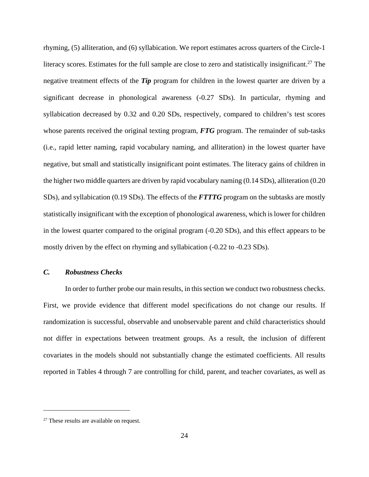rhyming, (5) alliteration, and (6) syllabication. We report estimates across quarters of the Circle-1 literacy scores. Estimates for the full sample are close to zero and statistically insignificant.<sup>27</sup> The negative treatment effects of the *Tip* program for children in the lowest quarter are driven by a significant decrease in phonological awareness (-0.27 SDs). In particular, rhyming and syllabication decreased by 0.32 and 0.20 SDs, respectively, compared to children's test scores whose parents received the original texting program, **FTG** program. The remainder of sub-tasks (i.e., rapid letter naming, rapid vocabulary naming, and alliteration) in the lowest quarter have negative, but small and statistically insignificant point estimates. The literacy gains of children in the higher two middle quarters are driven by rapid vocabulary naming (0.14 SDs), alliteration (0.20 SDs), and syllabication (0.19 SDs). The effects of the *FTTTG* program on the subtasks are mostly statistically insignificant with the exception of phonological awareness, which is lower for children in the lowest quarter compared to the original program (-0.20 SDs), and this effect appears to be mostly driven by the effect on rhyming and syllabication (-0.22 to -0.23 SDs).

### *C. Robustness Checks*

In order to further probe our main results, in this section we conduct two robustness checks. First, we provide evidence that different model specifications do not change our results. If randomization is successful, observable and unobservable parent and child characteristics should not differ in expectations between treatment groups. As a result, the inclusion of different covariates in the models should not substantially change the estimated coefficients. All results reported in Tables 4 through 7 are controlling for child, parent, and teacher covariates, as well as

1

<sup>&</sup>lt;sup>27</sup> These results are available on request.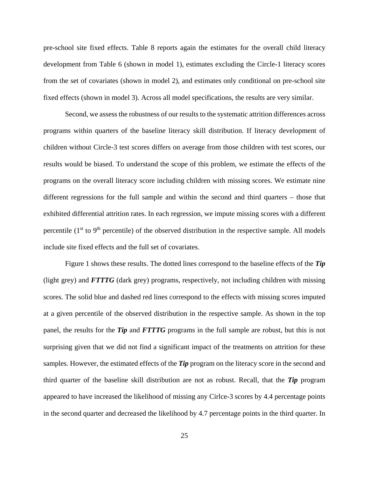pre-school site fixed effects. Table 8 reports again the estimates for the overall child literacy development from Table 6 (shown in model 1), estimates excluding the Circle-1 literacy scores from the set of covariates (shown in model 2), and estimates only conditional on pre-school site fixed effects (shown in model 3). Across all model specifications, the results are very similar.

Second, we assess the robustness of our results to the systematic attrition differences across programs within quarters of the baseline literacy skill distribution. If literacy development of children without Circle-3 test scores differs on average from those children with test scores, our results would be biased. To understand the scope of this problem, we estimate the effects of the programs on the overall literacy score including children with missing scores. We estimate nine different regressions for the full sample and within the second and third quarters – those that exhibited differential attrition rates. In each regression, we impute missing scores with a different percentile  $(1<sup>st</sup>$  to  $9<sup>th</sup>$  percentile) of the observed distribution in the respective sample. All models include site fixed effects and the full set of covariates.

Figure 1 shows these results. The dotted lines correspond to the baseline effects of the *Tip* (light grey) and *FTTTG* (dark grey) programs, respectively, not including children with missing scores. The solid blue and dashed red lines correspond to the effects with missing scores imputed at a given percentile of the observed distribution in the respective sample. As shown in the top panel, the results for the *Tip* and *FTTTG* programs in the full sample are robust, but this is not surprising given that we did not find a significant impact of the treatments on attrition for these samples. However, the estimated effects of the *Tip* program on the literacy score in the second and third quarter of the baseline skill distribution are not as robust. Recall, that the *Tip* program appeared to have increased the likelihood of missing any Cirlce-3 scores by 4.4 percentage points in the second quarter and decreased the likelihood by 4.7 percentage points in the third quarter. In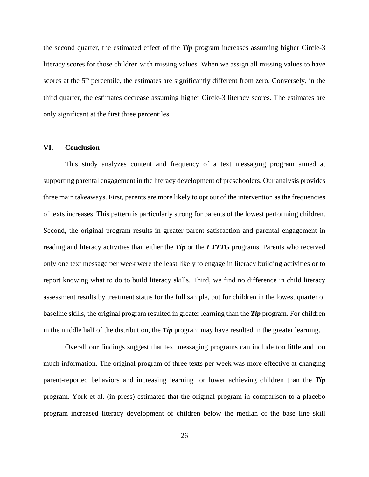the second quarter, the estimated effect of the *Tip* program increases assuming higher Circle-3 literacy scores for those children with missing values. When we assign all missing values to have scores at the 5<sup>th</sup> percentile, the estimates are significantly different from zero. Conversely, in the third quarter, the estimates decrease assuming higher Circle-3 literacy scores. The estimates are only significant at the first three percentiles.

### **VI. Conclusion**

This study analyzes content and frequency of a text messaging program aimed at supporting parental engagement in the literacy development of preschoolers. Our analysis provides three main takeaways. First, parents are more likely to opt out of the intervention as the frequencies of texts increases. This pattern is particularly strong for parents of the lowest performing children. Second, the original program results in greater parent satisfaction and parental engagement in reading and literacy activities than either the *Tip* or the *FTTTG* programs. Parents who received only one text message per week were the least likely to engage in literacy building activities or to report knowing what to do to build literacy skills. Third, we find no difference in child literacy assessment results by treatment status for the full sample, but for children in the lowest quarter of baseline skills, the original program resulted in greater learning than the *Tip* program. For children in the middle half of the distribution, the *Tip* program may have resulted in the greater learning.

Overall our findings suggest that text messaging programs can include too little and too much information. The original program of three texts per week was more effective at changing parent-reported behaviors and increasing learning for lower achieving children than the *Tip* program. York et al. (in press) estimated that the original program in comparison to a placebo program increased literacy development of children below the median of the base line skill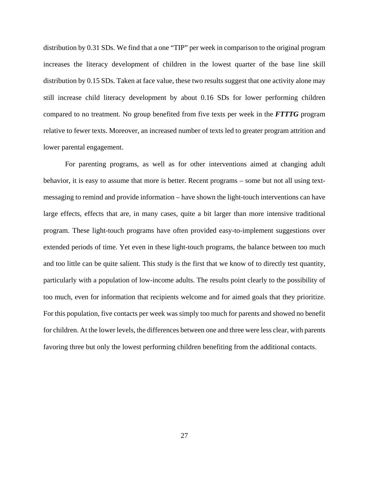distribution by 0.31 SDs. We find that a one "TIP" per week in comparison to the original program increases the literacy development of children in the lowest quarter of the base line skill distribution by 0.15 SDs. Taken at face value, these two results suggest that one activity alone may still increase child literacy development by about 0.16 SDs for lower performing children compared to no treatment. No group benefited from five texts per week in the *FTTTG* program relative to fewer texts. Moreover, an increased number of texts led to greater program attrition and lower parental engagement.

For parenting programs, as well as for other interventions aimed at changing adult behavior, it is easy to assume that more is better. Recent programs – some but not all using textmessaging to remind and provide information – have shown the light-touch interventions can have large effects, effects that are, in many cases, quite a bit larger than more intensive traditional program. These light-touch programs have often provided easy-to-implement suggestions over extended periods of time. Yet even in these light-touch programs, the balance between too much and too little can be quite salient. This study is the first that we know of to directly test quantity, particularly with a population of low-income adults. The results point clearly to the possibility of too much, even for information that recipients welcome and for aimed goals that they prioritize. For this population, five contacts per week was simply too much for parents and showed no benefit for children. At the lower levels, the differences between one and three were less clear, with parents favoring three but only the lowest performing children benefiting from the additional contacts.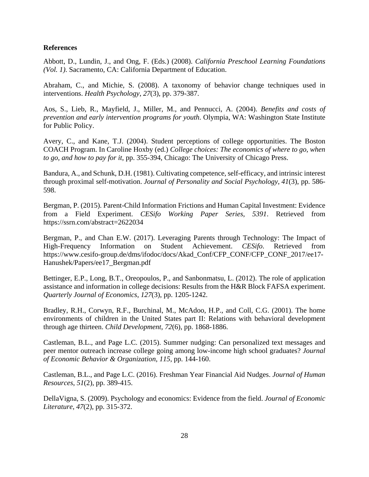### **References**

Abbott, D., Lundin, J., and Ong, F. (Eds.) (2008). *California Preschool Learning Foundations (Vol. 1)*. Sacramento, CA: California Department of Education.

Abraham, C., and Michie, S. (2008). A taxonomy of behavior change techniques used in interventions. *Health Psychology*, *27*(3), pp. 379-387.

Aos, S., Lieb, R., Mayfield, J., Miller, M., and Pennucci, A. (2004). *Benefits and costs of prevention and early intervention programs for youth*. Olympia, WA: Washington State Institute for Public Policy.

Avery, C., and Kane, T.J. (2004). Student perceptions of college opportunities. The Boston COACH Program. In Caroline Hoxby (ed.) *College choices: The economics of where to go, when to go, and how to pay for it*, pp. 355-394, Chicago: The University of Chicago Press.

Bandura, A., and Schunk, D.H. (1981). Cultivating competence, self-efficacy, and intrinsic interest through proximal self-motivation. *Journal of Personality and Social Psychology*, *41*(3), pp. 586- 598.

Bergman, P. (2015). Parent-Child Information Frictions and Human Capital Investment: Evidence from a Field Experiment. *CESifo Working Paper Series*, *5391*. Retrieved from https://ssrn.com/abstract=2622034

Bergman, P., and Chan E.W. (2017). Leveraging Parents through Technology: The Impact of High-Frequency Information on Student Achievement. *CESifo*. Retrieved from https://www.cesifo-group.de/dms/ifodoc/docs/Akad\_Conf/CFP\_CONF/CFP\_CONF\_2017/ee17- Hanushek/Papers/ee17\_Bergman.pdf

Bettinger, E.P., Long, B.T., Oreopoulos, P., and Sanbonmatsu, L. (2012). The role of application assistance and information in college decisions: Results from the H&R Block FAFSA experiment. *Quarterly Journal of Economics*, *127*(3), pp. 1205-1242.

Bradley, R.H., Corwyn, R.F., Burchinal, M., McAdoo, H.P., and Coll, C.G. (2001). The home environments of children in the United States part II: Relations with behavioral development through age thirteen. *Child Development*, *72*(6), pp. 1868-1886.

Castleman, B.L., and Page L.C. (2015). Summer nudging: Can personalized text messages and peer mentor outreach increase college going among low-income high school graduates? *Journal of Economic Behavior & Organization*, *115*, pp. 144-160.

Castleman, B.L., and Page L.C. (2016). Freshman Year Financial Aid Nudges. *Journal of Human Resources*, *51*(2), pp. 389-415.

DellaVigna, S. (2009). Psychology and economics: Evidence from the field. *Journal of Economic Literature*, *47*(2), pp. 315-372.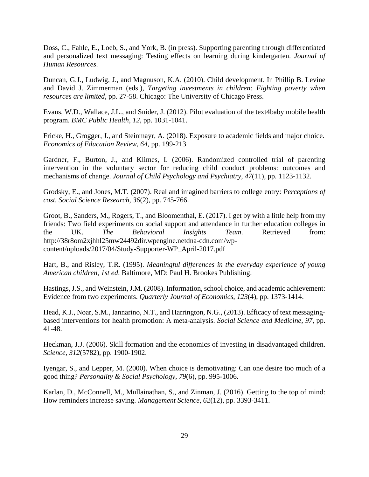Doss, C., Fahle, E., Loeb, S., and York, B. (in press). Supporting parenting through differentiated and personalized text messaging: Testing effects on learning during kindergarten. *Journal of Human Resources*.

Duncan, G.J., Ludwig, J., and Magnuson, K.A. (2010). Child development. In Phillip B. Levine and David J. Zimmerman (eds.), *Targeting investments in children: Fighting poverty when resources are limited*, pp. 27-58. Chicago: The University of Chicago Press.

Evans, W.D., Wallace, J.L., and Snider, J. (2012). Pilot evaluation of the text4baby mobile health program. *BMC Public Health*, *12*, pp. 1031-1041.

Fricke, H., Grogger, J., and Steinmayr, A. (2018). Exposure to academic fields and major choice. *Economics of Education Review, 64*, pp. 199-213

Gardner, F., Burton, J., and Klimes, I. (2006). Randomized controlled trial of parenting intervention in the voluntary sector for reducing child conduct problems: outcomes and mechanisms of change. *Journal of Child Psychology and Psychiatry*, *47*(11), pp. 1123-1132.

Grodsky, E., and Jones, M.T. (2007). Real and imagined barriers to college entry: *Perceptions of cost. Social Science Research*, *36*(2), pp. 745-766.

Groot, B., Sanders, M., Rogers, T., and Bloomenthal, E. (2017). I get by with a little help from my friends: Two field experiments on social support and attendance in further education colleges in the UK. *The Behavioral Insights Team*. Retrieved from: http://38r8om2xjhhl25mw24492dir.wpengine.netdna-cdn.com/wpcontent/uploads/2017/04/Study-Supporter-WP\_April-2017.pdf

Hart, B., and Risley, T.R. (1995). *Meaningful differences in the everyday experience of young American children, 1st ed*. Baltimore, MD: Paul H. Brookes Publishing.

Hastings, J.S., and Weinstein, J.M. (2008). Information, school choice, and academic achievement: Evidence from two experiments. *Quarterly Journal of Economics*, *123*(4), pp. 1373-1414.

Head, K.J., Noar, S.M., Iannarino, N.T., and Harrington, N.G., (2013). Efficacy of text messagingbased interventions for health promotion: A meta-analysis. *Social Science and Medicine*, *97*, pp. 41-48.

Heckman, J.J. (2006). Skill formation and the economics of investing in disadvantaged children. *Science*, *312*(5782), pp. 1900-1902.

Iyengar, S., and Lepper, M. (2000). When choice is demotivating: Can one desire too much of a good thing? *Personality & Social Psychology*, *79*(6), pp. 995-1006.

Karlan, D., McConnell, M., Mullainathan, S., and Zinman, J. (2016). Getting to the top of mind: How reminders increase saving. *Management Science*, *62*(12), pp. 3393-3411.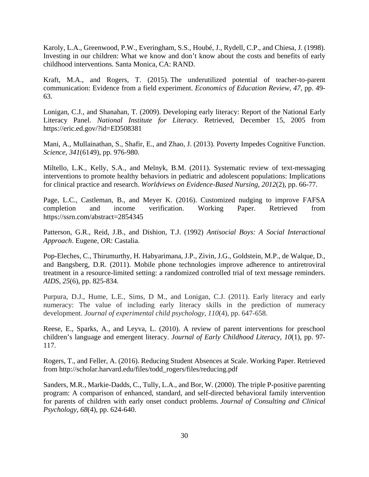Karoly, L.A., Greenwood, P.W., Everingham, S.S., Houbé, J., Rydell, C.P., and Chiesa, J. (1998). Investing in our children: What we know and don't know about the costs and benefits of early childhood interventions. Santa Monica, CA: RAND.

Kraft, M.A., and Rogers, T. (2015). The underutilized potential of teacher-to-parent communication: Evidence from a field experiment. *Economics of Education Review*, *47*, pp. 49- 63.

Lonigan, C.J., and Shanahan, T. (2009). Developing early literacy: Report of the National Early Literacy Panel. *National Institute for Literacy*. Retrieved, December 15, 2005 from https://eric.ed.gov/?id=ED508381

Mani, A., Mullainathan, S., Shafir, E., and Zhao, J. (2013). Poverty Impedes Cognitive Function. *Science*, *341*(6149), pp. 976-980.

Miltello, L.K., Kelly, S.A., and Melnyk, B.M. (2011). Systematic review of text-messaging interventions to promote healthy behaviors in pediatric and adolescent populations: Implications for clinical practice and research. *Worldviews on Evidence-Based Nursing*, *2012*(2), pp. 66-77.

Page, L.C., Castleman, B., and Meyer K. (2016). Customized nudging to improve FAFSA completion and income verification. Working Paper. Retrieved from https://ssrn.com/abstract=2854345

Patterson, G.R., Reid, J.B., and Dishion, T.J. (1992) *Antisocial Boys: A Social Interactional Approach*. Eugene, OR: Castalia.

Pop-Eleches, C., Thirumurthy, H. Habyarimana, J.P., Zivin, J.G., Goldstein, M.P., de Walque, D., and Bangsberg, D.R. (2011). Mobile phone technologies improve adherence to antiretroviral treatment in a resource-limited setting: a randomized controlled trial of text message reminders. *AIDS*, *25*(6), pp. 825-834.

Purpura, D.J., Hume, L.E., Sims, D M., and Lonigan, C.J. (2011). Early literacy and early numeracy: The value of including early literacy skills in the prediction of numeracy development. *Journal of experimental child psychology*, *110*(4), pp. 647-658.

Reese, E., Sparks, A., and Leyva, L. (2010). A review of parent interventions for preschool children's language and emergent literacy. *Journal of Early Childhood Literacy*, *10*(1), pp. 97- 117.

Rogers, T., and Feller, A. (2016). Reducing Student Absences at Scale. Working Paper. Retrieved from http://scholar.harvard.edu/files/todd\_rogers/files/reducing.pdf

Sanders, M.R., Markie-Dadds, C., Tully, L.A., and Bor, W. (2000). The triple P-positive parenting program: A comparison of enhanced, standard, and self-directed behavioral family intervention for parents of children with early onset conduct problems. *Journal of Consulting and Clinical Psychology*, *68*(4), pp. 624-640.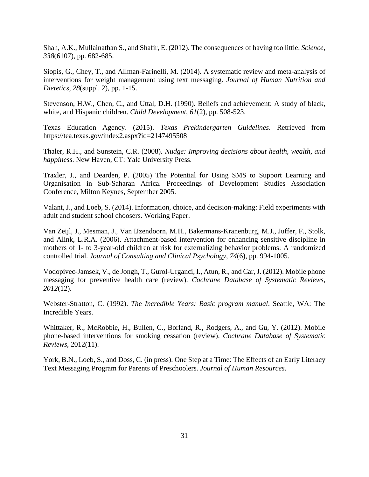Shah, A.K., Mullainathan S., and Shafir, E. (2012). The consequences of having too little. *Science*, *338*(6107), pp. 682-685.

Siopis, G., Chey, T., and Allman-Farinelli, M. (2014). A systematic review and meta-analysis of interventions for weight management using text messaging. *Journal of Human Nutrition and Dietetics*, *28*(suppl. 2), pp. 1-15.

Stevenson, H.W., Chen, C., and Uttal, D.H. (1990). Beliefs and achievement: A study of black, white, and Hispanic children. *Child Development*, *61*(2), pp. 508-523.

Texas Education Agency. (2015). *Texas Prekindergarten Guidelines*. Retrieved from https://tea.texas.gov/index2.aspx?id=2147495508

Thaler, R.H., and Sunstein, C.R. (2008). *Nudge: Improving decisions about health, wealth, and happiness*. New Haven, CT: Yale University Press.

Traxler, J., and Dearden, P. (2005) The Potential for Using SMS to Support Learning and Organisation in Sub-Saharan Africa. Proceedings of Development Studies Association Conference, Milton Keynes, September 2005.

Valant, J., and Loeb, S. (2014). Information, choice, and decision-making: Field experiments with adult and student school choosers. Working Paper.

Van Zeijl, J., Mesman, J., Van IJzendoorn, M.H., Bakermans-Kranenburg, M.J., Juffer, F., Stolk, and Alink, L.R.A. (2006). Attachment-based intervention for enhancing sensitive discipline in mothers of 1- to 3-year-old children at risk for externalizing behavior problems: A randomized controlled trial. *Journal of Consulting and Clinical Psychology*, *74*(6), pp. 994-1005.

Vodopivec-Jamsek, V., de Jongh, T., Gurol-Urganci, I., Atun, R., and Car, J. (2012). Mobile phone messaging for preventive health care (review). *Cochrane Database of Systematic Reviews*, *2012*(12).

Webster-Stratton, C. (1992). *The Incredible Years: Basic program manual*. Seattle, WA: The Incredible Years.

Whittaker, R., McRobbie, H., Bullen, C., Borland, R., Rodgers, A., and Gu, Y. (2012). Mobile phone-based interventions for smoking cessation (review). *Cochrane Database of Systematic Reviews*, 2012(11).

York, B.N., Loeb, S., and Doss, C. (in press). One Step at a Time: The Effects of an Early Literacy Text Messaging Program for Parents of Preschoolers. *Journal of Human Resources*.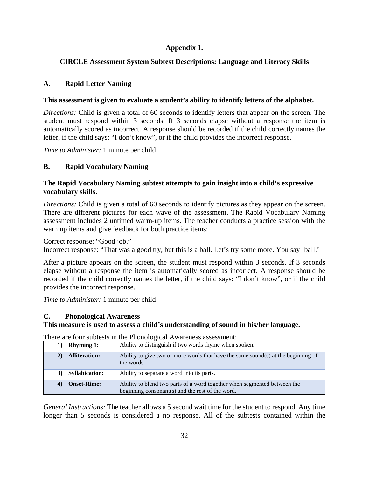## **Appendix 1.**

# **CIRCLE Assessment System Subtest Descriptions: Language and Literacy Skills**

# **A. Rapid Letter Naming**

## **This assessment is given to evaluate a student's ability to identify letters of the alphabet.**

*Directions:* Child is given a total of 60 seconds to identify letters that appear on the screen. The student must respond within 3 seconds. If 3 seconds elapse without a response the item is automatically scored as incorrect. A response should be recorded if the child correctly names the letter, if the child says: "I don't know", or if the child provides the incorrect response.

*Time to Administer:* 1 minute per child

## **B. Rapid Vocabulary Naming**

## **The Rapid Vocabulary Naming subtest attempts to gain insight into a child's expressive vocabulary skills.**

*Directions:* Child is given a total of 60 seconds to identify pictures as they appear on the screen. There are different pictures for each wave of the assessment. The Rapid Vocabulary Naming assessment includes 2 untimed warm-up items. The teacher conducts a practice session with the warmup items and give feedback for both practice items:

Correct response: "Good job."

Incorrect response: "That was a good try, but this is a ball. Let's try some more. You say 'ball.'

After a picture appears on the screen, the student must respond within 3 seconds. If 3 seconds elapse without a response the item is automatically scored as incorrect. A response should be recorded if the child correctly names the letter, if the child says: "I don't know", or if the child provides the incorrect response.

*Time to Administer:* 1 minute per child

## **C. Phonological Awareness**

**This measure is used to assess a child's understanding of sound in his/her language.** 

There are four subtests in the Phonological Awareness assessment:

| <b>Rhyming 1:</b>           | Ability to distinguish if two words rhyme when spoken.                                                                       |
|-----------------------------|------------------------------------------------------------------------------------------------------------------------------|
| <b>Alliteration:</b>        | Ability to give two or more words that have the same sound(s) at the beginning of<br>the words.                              |
| <b>Syllabication:</b><br>3) | Ability to separate a word into its parts.                                                                                   |
| <b>Onset-Rime:</b>          | Ability to blend two parts of a word together when segmented between the<br>beginning consonant(s) and the rest of the word. |

*General Instructions:* The teacher allows a 5 second wait time for the student to respond. Any time longer than 5 seconds is considered a no response. All of the subtests contained within the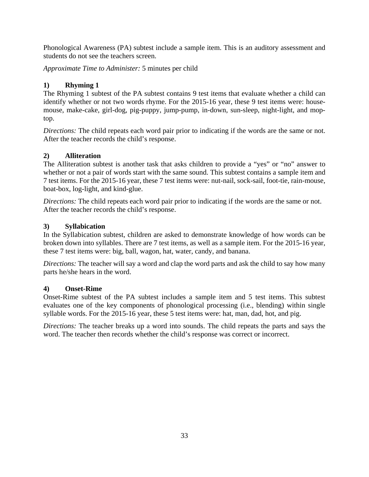Phonological Awareness (PA) subtest include a sample item. This is an auditory assessment and students do not see the teachers screen.

*Approximate Time to Administer:* 5 minutes per child

## **1) Rhyming 1**

The Rhyming 1 subtest of the PA subtest contains 9 test items that evaluate whether a child can identify whether or not two words rhyme. For the 2015-16 year, these 9 test items were: housemouse, make-cake, girl-dog, pig-puppy, jump-pump, in-down, sun-sleep, night-light, and moptop.

*Directions:* The child repeats each word pair prior to indicating if the words are the same or not. After the teacher records the child's response.

## **2) Alliteration**

The Alliteration subtest is another task that asks children to provide a "yes" or "no" answer to whether or not a pair of words start with the same sound. This subtest contains a sample item and 7 test items. For the 2015-16 year, these 7 test items were: nut-nail, sock-sail, foot-tie, rain-mouse, boat-box, log-light, and kind-glue.

*Directions:* The child repeats each word pair prior to indicating if the words are the same or not. After the teacher records the child's response.

## **3) Syllabication**

In the Syllabication subtest, children are asked to demonstrate knowledge of how words can be broken down into syllables. There are 7 test items, as well as a sample item. For the 2015-16 year, these 7 test items were: big, ball, wagon, hat, water, candy, and banana.

*Directions:* The teacher will say a word and clap the word parts and ask the child to say how many parts he/she hears in the word.

## **4) Onset-Rime**

Onset-Rime subtest of the PA subtest includes a sample item and 5 test items. This subtest evaluates one of the key components of phonological processing (i.e., blending) within single syllable words. For the 2015-16 year, these 5 test items were: hat, man, dad, hot, and pig.

*Directions:* The teacher breaks up a word into sounds. The child repeats the parts and says the word. The teacher then records whether the child's response was correct or incorrect.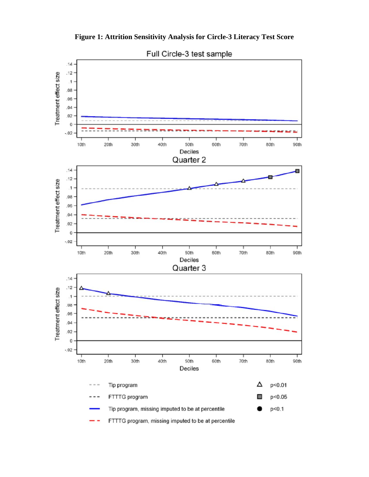

**Figure 1: Attrition Sensitivity Analysis for Circle-3 Literacy Test Score**

FTTTG program, missing imputed to be at percentile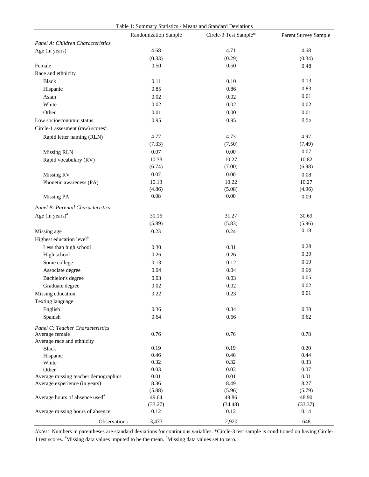|                                              | <b>Randomization Sample</b> | Circle-3 Test Sample* | Parent Survey Sample |
|----------------------------------------------|-----------------------------|-----------------------|----------------------|
| Panel A: Children Characteristics            |                             |                       |                      |
| Age (in years)                               | 4.68                        | 4.71                  | 4.68                 |
|                                              | (0.33)                      | (0.29)                | (0.34)               |
| Female                                       | 0.50                        | 0.50                  | 0.48                 |
| Race and ethnicity                           |                             |                       |                      |
| <b>Black</b>                                 | 0.11                        | 0.10                  | 0.13                 |
| Hispanic                                     | 0.85                        | 0.86                  | 0.83                 |
| Asian                                        | 0.02                        | $0.02\,$              | 0.01                 |
| White                                        | 0.02                        | $0.02\,$              | 0.02                 |
| Other                                        | 0.01                        | 0.00                  | 0.01                 |
| Low socioeconomic status                     | 0.95                        | 0.95                  | 0.95                 |
| Circle-1 assesment (raw) scores <sup>a</sup> |                             |                       |                      |
| Rapid letter naming (RLN)                    | 4.77                        | 4.73                  | 4.97                 |
|                                              | (7.33)                      | (7.50)                | (7.49)               |
| <b>Missing RLN</b>                           | 0.07                        | $0.00\,$              | 0.07                 |
| Rapid vocabulary (RV)                        | 10.33                       | 10.27                 | 10.82                |
|                                              | (6.74)                      | (7.00)                | (6.98)               |
| <b>Missing RV</b>                            | 0.07                        | $0.00\,$              | 0.08                 |
| Phonetic awareness (PA)                      | 10.13                       | 10.22                 | 10.27                |
|                                              | (4.86)                      | (5.08)                | (4.96)               |
| <b>Missing PA</b>                            | $0.08\,$                    | $0.00\,$              | 0.09                 |
| Panel B: Parental Characteristics            |                             |                       |                      |
| Age $(in \text{ years})^a$                   | 31.16                       | 31.27                 | 30.69                |
|                                              | (5.89)                      | (5.83)                | (5.96)               |
| Missing age                                  | 0.23                        | 0.24                  | 0.18                 |
| Highest education level <sup>b</sup>         |                             |                       |                      |
| Less than high school                        | 0.30                        | 0.31                  | 0.28                 |
| High school                                  | 0.26                        | 0.26                  | 0.39                 |
| Some college                                 | 0.13                        | 0.12                  | 0.19                 |
| Associate degree                             | 0.04                        | $0.04\,$              | 0.06                 |
| Bachlelor's degree                           | 0.03                        | 0.03                  | 0.05                 |
| Graduate degree                              | 0.02                        | 0.02                  | 0.02                 |
| Missing education                            | 0.22                        | 0.23                  | $0.01\,$             |
| Texting language                             |                             |                       |                      |
| English                                      | 0.36                        | 0.34                  | 0.38                 |
| Spanish                                      | 0.64                        | 0.66                  | 0.62                 |
|                                              |                             |                       |                      |
| Panel C: Teacher Characteristics             |                             |                       |                      |
| Average female                               | 0.76                        | 0.76                  | 0.78                 |
| Average race and ethnicity<br><b>Black</b>   | 0.19                        | 0.19                  | 0.20                 |
| Hispanic                                     | 0.46                        | 0.46                  | 0.44                 |
| White                                        | 0.32                        | 0.32                  | 0.33                 |
| Other                                        | 0.03                        | 0.03                  | 0.07                 |
| Average missing teacher demographics         | $0.01\,$                    | 0.01                  | 0.01                 |
| Average experience (in years)                | 8.36                        | 8.49                  | 8.27                 |
|                                              | (5.88)                      | (5.96)                | (5.79)               |
| Average hours of absence used <sup>a</sup>   | 49.64                       | 49.86                 | 48.90                |
|                                              | (33.27)                     | (34.48)               | (33.37)              |
| Average missing hours of absence             | 0.12                        | 0.12                  | 0.14                 |
| Observations                                 | 3,473                       | 2,920                 | 648                  |

*Notes:* Numbers in parentheses are standard deviations for continuous variables. \*Circle-3 test sample is conditioned on having Circle-1 test scores. <sup>a</sup>Missing data values imputed to be the mean. <sup>b</sup>Missing data values set to zero.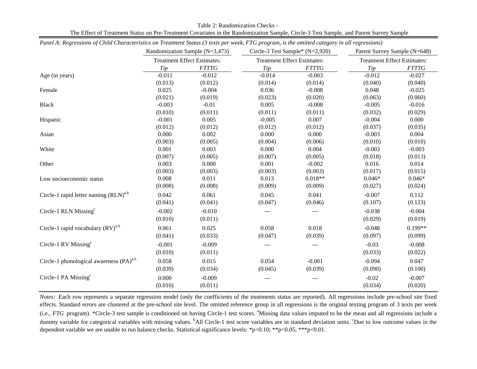Table 2: Randomization Checks - The Effect of Treatment Status on Pre-Treatment Covariates in the Randomization Sample, Circle-3 Test Sample, and Parent Survey Sample

|                                                   |          | Randomization Sample (N=3,473)     | Circle-3 Test Sample* (N=2,920)    |              | Parent Survey Sample (N=648)       |              |
|---------------------------------------------------|----------|------------------------------------|------------------------------------|--------------|------------------------------------|--------------|
|                                                   |          | <b>Treatment Effect Estimates:</b> | <b>Treatment Effect Estimates:</b> |              | <b>Treatment Effect Estimates:</b> |              |
|                                                   | Tip      | <b>FTTTG</b>                       | Tip                                | <b>FTTTG</b> | Tip                                | <b>FTTTG</b> |
| Age (in years)                                    | $-0.011$ | $-0.012$                           | $-0.014$                           | $-0.003$     | $-0.012$                           | $-0.027$     |
|                                                   | (0.013)  | (0.012)                            | (0.014)                            | (0.014)      | (0.040)                            | (0.040)      |
| Female                                            | 0.025    | $-0.004$                           | 0.036                              | $-0.008$     | 0.048                              | $-0.025$     |
|                                                   | (0.021)  | (0.019)                            | (0.023)                            | (0.020)      | (0.063)                            | (0.060)      |
| <b>Black</b>                                      | $-0.003$ | $-0.01$                            | 0.005                              | $-0.008$     | $-0.005$                           | $-0.016$     |
|                                                   | (0.010)  | (0.011)                            | (0.011)                            | (0.011)      | (0.032)                            | (0.029)      |
| Hispanic                                          | $-0.001$ | 0.005                              | $-0.005$                           | 0.007        | $-0.004$                           | 0.000        |
|                                                   | (0.012)  | (0.012)                            | (0.012)                            | (0.012)      | (0.037)                            | (0.035)      |
| Asian                                             | 0.000    | 0.002                              | 0.000                              | 0.000        | $-0.003$                           | 0.004        |
|                                                   | (0.003)  | (0.005)                            | (0.004)                            | (0.006)      | (0.010)                            | (0.010)      |
| White                                             | 0.001    | 0.003                              | 0.000                              | 0.004        | $-0.003$                           | $-0.003$     |
|                                                   | (0.007)  | (0.005)                            | (0.007)                            | (0.005)      | (0.018)                            | (0.013)      |
| Other                                             | 0.003    | 0.000                              | 0.001                              | $-0.002$     | 0.016                              | 0.014        |
|                                                   | (0.003)  | (0.003)                            | (0.003)                            | (0.003)      | (0.017)                            | (0.015)      |
| Low socioeconomic status                          | 0.008    | 0.011                              | 0.013                              | $0.018**$    | $0.046*$                           | $0.046*$     |
|                                                   | (0.008)  | (0.008)                            | (0.009)                            | (0.009)      | (0.027)                            | (0.024)      |
| Circle-1 rapid letter naming (RLN) <sup>a,b</sup> | 0.042    | 0.061                              | 0.045                              | 0.041        | $-0.007$                           | 0.112        |
|                                                   | (0.041)  | (0.041)                            | (0.047)                            | (0.046)      | (0.107)                            | (0.123)      |
| Circle-1 RLN Missing $c$                          | $-0.002$ | $-0.010$                           | $---$                              | ---          | $-0.038$                           | $-0.004$     |
|                                                   | (0.010)  | (0.011)                            |                                    |              | (0.029)                            | (0.019)      |
| Circle-1 rapid vocabulary (RV) <sup>a,b</sup>     | 0.061    | 0.025                              | 0.058                              | 0.018        | $-0.048$                           | $0.199**$    |
|                                                   | (0.041)  | (0.033)                            | (0.047)                            | (0.039)      | (0.097)                            | (0.099)      |
| Circle-1 RV Missing $c$                           | $-0.001$ | $-0.009$                           |                                    | $---$        | $-0.03$                            | $-0.008$     |
|                                                   | (0.010)  | (0.011)                            |                                    |              | (0.033)                            | (0.022)      |
|                                                   |          |                                    |                                    |              |                                    |              |
| Circle-1 phonological awareness $(PA)^{a,b}$      | 0.058    | 0.015                              | 0.054                              | $-0.001$     | $-0.094$                           | 0.047        |
|                                                   | (0.039)  | (0.034)                            | (0.045)                            | (0.039)      | (0.090)                            | (0.100)      |
| Circle-1 PA Missing $c$                           | 0.000    | $-0.009$                           |                                    |              | $-0.02$                            | $-0.007$     |
|                                                   | (0.010)  | (0.011)                            |                                    |              | (0.034)                            | (0.020)      |

*Panel A: Regressions of Child Characteristics on Treatment Status (3 texts per week, FTG program, is the omitted category in all regressions)* 

*Notes:* Each row represents <sup>a</sup> separate regression model (only the coefficients of the treatments status are reported). All regressions include pre-school site fixed effects. Standard errors are clustered at the pre-school site level. The omitted reference group in all regressions is the original texting program of 3 texts per week (i.e., *FTG* program). \*Circle-3 test sample is conditioned on having Circle-1 test scores. <sup>a</sup>Missing data values imputed to be the mean and all regressions include a dummy variable for categorical variables with missing values. <sup>b</sup>All Circle-1 test score variables are in standard deviation units. <sup>c</sup>Due to low outcome values in the dependent variable we are unable to run balance checks. Statistical significance levels: \*p<0.10; \*\*p<0.05; \*\*\*p<0.01.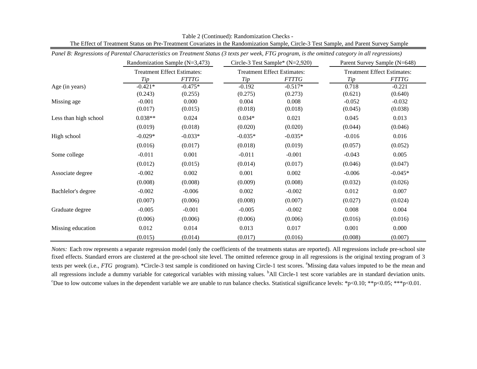| Panel B: Regressions of Parental Characteristics on Treatment Status (3 texts per week, FTG program, is the omitted category in all regressions) |                                  |                                    |                                   |                                    |                              |                                    |
|--------------------------------------------------------------------------------------------------------------------------------------------------|----------------------------------|------------------------------------|-----------------------------------|------------------------------------|------------------------------|------------------------------------|
|                                                                                                                                                  | Randomization Sample $(N=3,473)$ |                                    | Circle-3 Test Sample* $(N=2,920)$ |                                    | Parent Survey Sample (N=648) |                                    |
|                                                                                                                                                  |                                  | <b>Treatment Effect Estimates:</b> |                                   | <b>Treatment Effect Estimates:</b> |                              | <b>Treatment Effect Estimates:</b> |
|                                                                                                                                                  | Tip                              | <b>FTTTG</b>                       | Tip                               | <b>FTTTG</b>                       | Tip                          | <b>FTTTG</b>                       |
| Age (in years)                                                                                                                                   | $-0.421*$                        | $-0.475*$                          | $-0.192$                          | $-0.517*$                          | 0.718                        | $-0.221$                           |
|                                                                                                                                                  | (0.243)                          | (0.255)                            | (0.275)                           | (0.273)                            | (0.621)                      | (0.640)                            |
| Missing age                                                                                                                                      | $-0.001$                         | 0.000                              | 0.004                             | 0.008                              | $-0.052$                     | $-0.032$                           |
|                                                                                                                                                  | (0.017)                          | (0.015)                            | (0.018)                           | (0.018)                            | (0.045)                      | (0.038)                            |
| Less than high school                                                                                                                            | $0.038**$                        | 0.024                              | $0.034*$                          | 0.021                              | 0.045                        | 0.013                              |
|                                                                                                                                                  | (0.019)                          | (0.018)                            | (0.020)                           | (0.020)                            | (0.044)                      | (0.046)                            |
| High school                                                                                                                                      | $-0.029*$                        | $-0.033*$                          | $-0.035*$                         | $-0.035*$                          | $-0.016$                     | 0.016                              |
|                                                                                                                                                  | (0.016)                          | (0.017)                            | (0.018)                           | (0.019)                            | (0.057)                      | (0.052)                            |
| Some college                                                                                                                                     | $-0.011$                         | 0.001                              | $-0.011$                          | $-0.001$                           | $-0.043$                     | 0.005                              |
|                                                                                                                                                  | (0.012)                          | (0.015)                            | (0.014)                           | (0.017)                            | (0.046)                      | (0.047)                            |
| Associate degree                                                                                                                                 | $-0.002$                         | 0.002                              | 0.001                             | 0.002                              | $-0.006$                     | $-0.045*$                          |
|                                                                                                                                                  | (0.008)                          | (0.008)                            | (0.009)                           | (0.008)                            | (0.032)                      | (0.026)                            |
| Bachlelor's degree                                                                                                                               | $-0.002$                         | $-0.006$                           | 0.002                             | $-0.002$                           | 0.012                        | 0.007                              |
|                                                                                                                                                  | (0.007)                          | (0.006)                            | (0.008)                           | (0.007)                            | (0.027)                      | (0.024)                            |
| Graduate degree                                                                                                                                  | $-0.005$                         | $-0.001$                           | $-0.005$                          | $-0.002$                           | 0.008                        | 0.004                              |
|                                                                                                                                                  | (0.006)                          | (0.006)                            | (0.006)                           | (0.006)                            | (0.016)                      | (0.016)                            |
| Missing education                                                                                                                                | 0.012                            | 0.014                              | 0.013                             | 0.017                              | 0.001                        | 0.000                              |
|                                                                                                                                                  | (0.015)                          | (0.014)                            | (0.017)                           | (0.016)                            | (0.008)                      | (0.007)                            |

Table 2 (Continued): Randomization Checks - The Effect of Treatment Status on Pre-Treatment Covariates in the Randomization Sample, Circle-3 Test Sample, and Parent Survey Sample

*Notes:* Each row represents <sup>a</sup> separate regression model (only the coefficients of the treatments status are reported). All regressions include pre-school site fixed effects. Standard errors are clustered at the pre-school site level. The omitted reference group in all regressions is the original texting program of 3 texts per week (i.e., FTG program). \*Circle-3 test sample is conditioned on having Circle-1 test scores. <sup>a</sup>Missing data values imputed to be the mean and all regressions include a dummy variable for categorical variables with missing values. <sup>b</sup>All Circle-1 test score variables are in standard deviation units. <sup>c</sup>Due to low outcome values in the dependent variable we are unable to run balance checks. Statistical significance levels: \*p<0.10; \*\*p<0.05; \*\*\*p<0.01.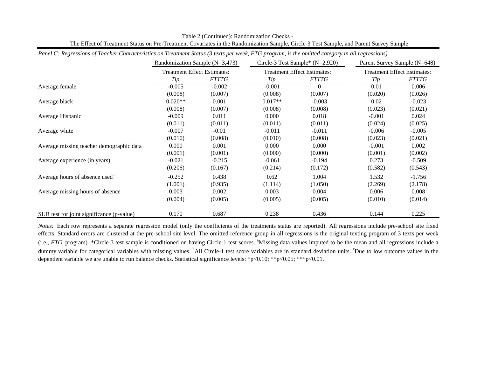| т инег с. незгезмоть ортешнег спиталения он гтеантенгышы (элемь рет week, г го ртозтат, is те отниеа сатезот у т ан тезтезмоть) | Randomization Sample (N=3,473)     |              |                                    | Circle-3 Test Sample* $(N=2,920)$ |                                    | Parent Survey Sample (N=648) |
|---------------------------------------------------------------------------------------------------------------------------------|------------------------------------|--------------|------------------------------------|-----------------------------------|------------------------------------|------------------------------|
|                                                                                                                                 | <b>Treatment Effect Estimates:</b> |              | <b>Treatment Effect Estimates:</b> |                                   | <b>Treatment Effect Estimates:</b> |                              |
|                                                                                                                                 | Tip                                | <b>FTTTG</b> | Tip                                | <b>FTTTG</b>                      | Tip                                | <b>FTTTG</b>                 |
| Average female                                                                                                                  | $-0.005$                           | $-0.002$     | $-0.001$                           | $\Omega$                          | 0.01                               | 0.006                        |
|                                                                                                                                 | (0.008)                            | (0.007)      | (0.008)                            | (0.007)                           | (0.020)                            | (0.026)                      |
| Average black                                                                                                                   | $0.020**$                          | 0.001        | $0.017**$                          | $-0.003$                          | 0.02                               | $-0.023$                     |
|                                                                                                                                 | (0.008)                            | (0.007)      | (0.008)                            | (0.008)                           | (0.023)                            | (0.021)                      |
| Average Hispanic                                                                                                                | $-0.009$                           | 0.011        | 0.000                              | 0.018                             | $-0.001$                           | 0.024                        |
|                                                                                                                                 | (0.011)                            | (0.011)      | (0.011)                            | (0.011)                           | (0.024)                            | (0.025)                      |
| Average white                                                                                                                   | $-0.007$                           | $-0.01$      | $-0.011$                           | $-0.011$                          | $-0.006$                           | $-0.005$                     |
|                                                                                                                                 | (0.010)                            | (0.008)      | (0.010)                            | (0.008)                           | (0.023)                            | (0.021)                      |
| Average missing teacher demographic data                                                                                        | 0.000                              | 0.001        | 0.000                              | 0.000                             | $-0.001$                           | 0.002                        |
|                                                                                                                                 | (0.001)                            | (0.001)      | (0.000)                            | (0.000)                           | (0.001)                            | (0.002)                      |
| Average experience (in years)                                                                                                   | $-0.021$                           | $-0.215$     | $-0.061$                           | $-0.194$                          | 0.273                              | $-0.509$                     |
|                                                                                                                                 | (0.206)                            | (0.167)      | (0.214)                            | (0.172)                           | (0.582)                            | (0.543)                      |
| Average hours of absence used <sup>a</sup>                                                                                      | $-0.252$                           | 0.438        | 0.62                               | 1.004                             | 1.532                              | $-1.756$                     |
|                                                                                                                                 | (1.001)                            | (0.935)      | (1.114)                            | (1.050)                           | (2.269)                            | (2.178)                      |
| Average missing hours of absence                                                                                                | 0.003                              | 0.002        | 0.003                              | 0.004                             | 0.006                              | 0.008                        |
|                                                                                                                                 | (0.004)                            | (0.005)      | (0.005)                            | (0.005)                           | (0.010)                            | (0.014)                      |
| SUR test for joint significance (p-value)                                                                                       | 0.170                              | 0.687        | 0.238                              | 0.436                             | 0.144                              | 0.225                        |

Table 2 (Continued): Randomization Checks - The Effect of Treatment Status on Pre-Treatment Covariates in the Randomization Sample, Circle-3 Test Sample, and Parent Survey Sample

*Panel C: Regressions of Teacher Characteristics on Treatment Status (3 texts per week, FTG program, is the omitted category in all regressions)* 

*Notes:* Each row represents <sup>a</sup> separate regression model (only the coefficients of the treatments status are reported). All regressions include pre-school site fixed effects. Standard errors are clustered at the pre-school site level. The omitted reference group in all regressions is the original texting program of 3 texts per week (i.e., *FTG* program). \*Circle-3 test sample is conditioned on having Circle-1 test scores. <sup>a</sup>Missing data values imputed to be the mean and all regressions include a dummy variable for categorical variables with missing values. <sup>b</sup>All Circle-1 test score variables are in standard deviation units. <sup>c</sup>Due to low outcome values in the dependent variable we are unable to run balance checks. Statistical significance levels: \*p<0.10; \*\*p<0.05; \*\*\*p<0.01.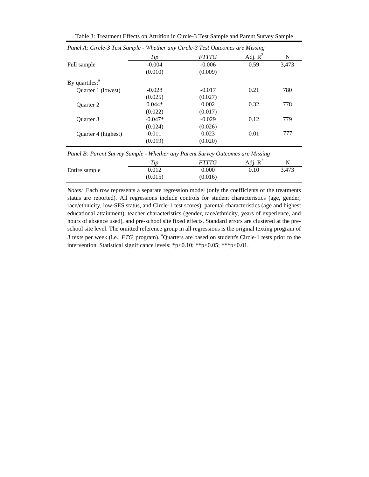| Panel A: Circle-3 Test Sample - Whether any Circle-3 Test Outcomes are Missing |           |              |            |       |
|--------------------------------------------------------------------------------|-----------|--------------|------------|-------|
|                                                                                | Tip       | <i>FTTTG</i> | Adj. $R^2$ | N     |
| Full sample                                                                    | $-0.004$  | $-0.006$     | 0.59       | 3,473 |
|                                                                                | (0.010)   | (0.009)      |            |       |
| By quartiles: <sup>a</sup>                                                     |           |              |            |       |
| Quarter 1 (lowest)                                                             | $-0.028$  | $-0.017$     | 0.21       | 780   |
|                                                                                | (0.025)   | (0.027)      |            |       |
| Quarter 2                                                                      | $0.044*$  | 0.002        | 0.32       | 778   |
|                                                                                | (0.022)   | (0.017)      |            |       |
| Quarter 3                                                                      | $-0.047*$ | $-0.029$     | 0.12       | 779   |
|                                                                                | (0.024)   | (0.026)      |            |       |
| Quarter 4 (highest)                                                            | 0.011     | 0.023        | 0.01       | 777   |
|                                                                                | (0.019)   | (0.020)      |            |       |
| Panel B: Parent Survey Sample - Whether any Parent Survey Outcomes are Missing |           |              |            |       |
|                                                                                | Tip       | <i>FTTTG</i> | Adj. $R^2$ | N     |
| Entire sample                                                                  | 0.012     | 0.000        | 0.10       | 3,473 |
|                                                                                | (0.015)   | (0.016)      |            |       |

Table 3: Treatment Effects on Attrition in Circle-3 Test Sample and Parent Survey Sample

*Notes:* Each row represents a separate regression model (only the coefficients of the treatments status are reported). All regressions include controls for student characteristics (age, gender, race/ethnicity, low-SES status, and Circle-1 test scores), parental characteristics (age and highest educational attainment), teacher characteristics (gender, race/ethnicity, years of experience, and hours of absence used), and pre-school site fixed effects. Standard errors are clustered at the preschool site level. The omitted reference group in all regressions is the original texting program of 3 texts per week (i.e., *FTG* program). <sup>a</sup>Quarters are based on student's Circle-1 tests prior to the intervention. Statistical significance levels: \*p<0.10; \*\*p<0.05; \*\*\*p<0.01.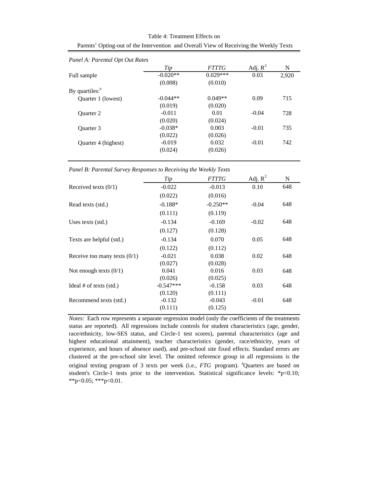| Panel A: Parental Opt Out Rates |            |              |            |       |
|---------------------------------|------------|--------------|------------|-------|
|                                 | Tip        | <b>FTTTG</b> | Adj. $R^2$ | N     |
| Full sample                     | $-0.020**$ | $0.029***$   | 0.03       | 2.920 |
|                                 | (0.008)    | (0.010)      |            |       |
| By quartiles: <sup>a</sup>      |            |              |            |       |
| Quarter 1 (lowest)              | $-0.044**$ | $0.049**$    | 0.09       | 715   |
|                                 | (0.019)    | (0.020)      |            |       |
| Ouarter 2                       | $-0.011$   | 0.01         | $-0.04$    | 728   |
|                                 | (0.020)    | (0.024)      |            |       |
| Ouarter 3                       | $-0.038*$  | 0.003        | $-0.01$    | 735   |
|                                 | (0.022)    | (0.026)      |            |       |
| Quarter 4 (highest)             | $-0.019$   | 0.032        | $-0.01$    | 742   |
|                                 | (0.024)    | (0.026)      |            |       |

| Table 4: Treatment Effects on                                                          |  |
|----------------------------------------------------------------------------------------|--|
| Parents' Opting-out of the Intervention and Overall View of Receiving the Weekly Texts |  |

*Panel B: Parental Survey Responses to Receiving the Weekly Texts* 

|                                | Tip         | <i>FTTTG</i> | Adj. $R^2$ | N   |
|--------------------------------|-------------|--------------|------------|-----|
| Received texts $(0/1)$         | $-0.022$    | $-0.013$     | 0.10       | 648 |
|                                | (0.022)     | (0.016)      |            |     |
| Read texts (std.)              | $-0.188*$   | $-0.250**$   | $-0.04$    | 648 |
|                                | (0.111)     | (0.119)      |            |     |
| Uses texts $(std.)$            | $-0.134$    | $-0.169$     | $-0.02$    | 648 |
|                                | (0.127)     | (0.128)      |            |     |
| Texts are helpful (std.)       | $-0.134$    | 0.070        | 0.05       | 648 |
|                                | (0.122)     | (0.112)      |            |     |
| Receive too many texts $(0/1)$ | $-0.021$    | 0.038        | 0.02       | 648 |
|                                | (0.027)     | (0.028)      |            |     |
| Not enough texts $(0/1)$       | 0.041       | 0.016        | 0.03       | 648 |
|                                | (0.026)     | (0.025)      |            |     |
| Ideal $#$ of texts (std.)      | $-0.547***$ | $-0.158$     | 0.03       | 648 |
|                                | (0.120)     | (0.111)      |            |     |
| Recommend texts (std.)         | $-0.132$    | $-0.043$     | $-0.01$    | 648 |
|                                | (0.111)     | (0.125)      |            |     |

*Notes:* Each row represents a separate regression model (only the coefficients of the treatments status are reported). All regressions include controls for student characteristics (age, gender, race/ethnicity, low-SES status, and Circle-1 test scores), parental characteristics (age and highest educational attainment), teacher characteristics (gender, race/ethnicity, years of experience, and hours of absence used), and pre-school site fixed effects. Standard errors are clustered at the pre-school site level. The omitted reference group in all regressions is the original texting program of 3 texts per week (i.e., *FTG* program). <sup>a</sup>Quarters are based on student's Circle-1 tests prior to the intervention. Statistical significance levels:  $*p<0.10$ ; \*\*p<0.05; \*\*\*p<0.01.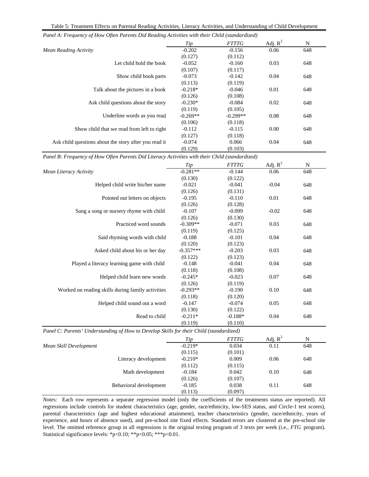|  |  |  |  |  | Panel A: Frequency of How Often Parents Did Reading Activities with their Child (standardized) |
|--|--|--|--|--|------------------------------------------------------------------------------------------------|
|  |  |  |  |  |                                                                                                |

|                                                       | Tip        | <b>FTTTG</b> | Adj. $R^2$ | N   |
|-------------------------------------------------------|------------|--------------|------------|-----|
| Mean Reading Activity                                 | $-0.202$   | $-0.156$     | 0.06       | 648 |
|                                                       | (0.127)    | (0.112)      |            |     |
| Let child hold the book                               | $-0.052$   | $-0.160$     | 0.03       | 648 |
|                                                       | (0.107)    | (0.117)      |            |     |
| Show child book parts                                 | $-0.073$   | $-0.142$     | 0.04       | 648 |
|                                                       | (0.113)    | (0.119)      |            |     |
| Talk about the pictures in a book                     | $-0.218*$  | $-0.046$     | 0.01       | 648 |
|                                                       | (0.126)    | (0.108)      |            |     |
| Ask child questions about the story                   | $-0.230*$  | $-0.084$     | 0.02       | 648 |
|                                                       | (0.119)    | (0.105)      |            |     |
| Underline words as you read                           | $-0.269**$ | $-0.299**$   | 0.08       | 648 |
|                                                       | (0.106)    | (0.118)      |            |     |
| Show child that we read from left to right            | $-0.112$   | $-0.115$     | 0.00       | 648 |
|                                                       | (0.127)    | (0.118)      |            |     |
| Ask child questions about the story after you read it | $-0.074$   | 0.066        | 0.04       | 648 |
|                                                       | (0.129)    | (0.103)      |            |     |

*Panel B: Frequency of How Often Parents Did Literacy Activities with their Child (standardized)*

|                                                                                         | Tip         | <b>FTTTG</b> | Adj. $R^2$ | ${\bf N}$ |
|-----------------------------------------------------------------------------------------|-------------|--------------|------------|-----------|
| Mean Literacy Activity                                                                  | $-0.281**$  | $-0.144$     | 0.06       | 648       |
|                                                                                         | (0.130)     | (0.122)      |            |           |
| Helped child write his/her name                                                         | $-0.021$    | $-0.041$     | $-0.04$    | 648       |
|                                                                                         | (0.126)     | (0.131)      |            |           |
| Pointed out letters on objects                                                          | $-0.195$    | $-0.110$     | 0.01       | 648       |
|                                                                                         | (0.126)     | (0.128)      |            |           |
| Sang a song or nursery rhyme with child                                                 | $-0.107$    | $-0.099$     | $-0.02$    | 648       |
|                                                                                         | (0.126)     | (0.130)      |            |           |
| Practiced word sounds                                                                   | $-0.309**$  | $-0.071$     | 0.03       | 648       |
|                                                                                         | (0.119)     | (0.125)      |            |           |
| Said rhyming words with child                                                           | $-0.188$    | $-0.101$     | 0.04       | 648       |
|                                                                                         | (0.120)     | (0.123)      |            |           |
| Asked child about his or her day                                                        | $-0.357***$ | $-0.203$     | 0.03       | 648       |
|                                                                                         | (0.122)     | (0.123)      |            |           |
| Played a literacy learning game with child                                              | $-0.148$    | $-0.041$     | 0.04       | 648       |
|                                                                                         | (0.118)     | (0.108)      |            |           |
| Helped child learn new words                                                            | $-0.245*$   | $-0.023$     | 0.07       | 648       |
|                                                                                         | (0.126)     | (0.119)      |            |           |
| Worked on reading skills during family activities                                       | $-0.293**$  | $-0.190$     | 0.10       | 648       |
|                                                                                         | (0.118)     | (0.120)      |            |           |
| Helped child sound out a word                                                           | $-0.147$    | $-0.074$     | 0.05       | 648       |
|                                                                                         | (0.130)     | (0.122)      |            |           |
| Read to child                                                                           | $-0.211*$   | $-0.188*$    | 0.04       | 648       |
|                                                                                         | (0.119)     | (0.110)      |            |           |
| Panel C: Parents' Understanding of How to Develop Skills for their Child (standardized) |             |              |            |           |
|                                                                                         | Tip         | <b>FTTTG</b> | Adj. $R^2$ | N         |
| Mean Skill Development                                                                  | $-0.219*$   | 0.034        | 0.11       | 648       |
|                                                                                         | (0.115)     | (0.101)      |            |           |
| Literacy development                                                                    | $-0.210*$   | 0.009        | 0.06       | 648       |
|                                                                                         | (0.112)     | (0.115)      |            |           |
| Math development                                                                        | $-0.184$    | 0.042        | 0.10       | 648       |
|                                                                                         | (0.126)     | (0.107)      |            |           |
| Behavioral development                                                                  | $-0.185$    | 0.038        | 0.11       | 648       |
|                                                                                         | (0.113)     | (0.097)      |            |           |

*Notes:* Each row represents a separate regression model (only the coefficients of the treatments status are reported). All regressions include controls for student characteristics (age, gender, race/ethnicity, low-SES status, and Circle-1 test scores), parental characteristics (age and highest educational attainment), teacher characteristics (gender, race/ethnicity, years of experience, and hours of absence used), and pre-school site fixed effects. Standard errors are clustered at the pre-school site level. The omitted reference group in all regressions is the original texting program of 3 texts per week (i.e., *FTG* program). Statistical significance levels: \*p<0.10; \*\*p<0.05; \*\*\*p<0.01.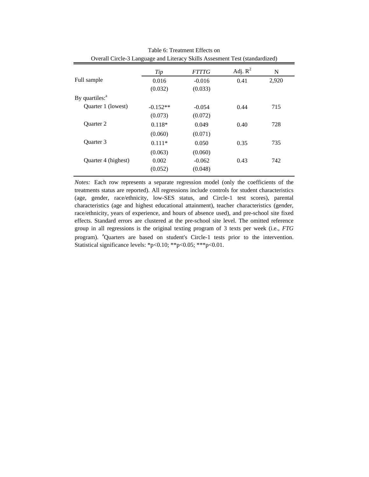|                            | Overan Cheic-9 Language and Lucracy DKins Assessment Test (standardized) |              |            |       |  |  |  |  |
|----------------------------|--------------------------------------------------------------------------|--------------|------------|-------|--|--|--|--|
|                            | Tip                                                                      | <b>FTTTG</b> | Adj. $R^2$ | N     |  |  |  |  |
| Full sample                | 0.016                                                                    | $-0.016$     | 0.41       | 2,920 |  |  |  |  |
|                            | (0.032)                                                                  | (0.033)      |            |       |  |  |  |  |
| By quartiles: <sup>a</sup> |                                                                          |              |            |       |  |  |  |  |
| Quarter 1 (lowest)         | $-0.152**$                                                               | $-0.054$     | 0.44       | 715   |  |  |  |  |
|                            | (0.073)                                                                  | (0.072)      |            |       |  |  |  |  |
| <b>Ouarter 2</b>           | $0.118*$                                                                 | 0.049        | 0.40       | 728   |  |  |  |  |
|                            | (0.060)                                                                  | (0.071)      |            |       |  |  |  |  |
| Ouarter 3                  | $0.111*$                                                                 | 0.050        | 0.35       | 735   |  |  |  |  |
|                            | (0.063)                                                                  | (0.060)      |            |       |  |  |  |  |
| Quarter 4 (highest)        | 0.002                                                                    | $-0.062$     | 0.43       | 742   |  |  |  |  |
|                            | (0.052)                                                                  | (0.048)      |            |       |  |  |  |  |
|                            |                                                                          |              |            |       |  |  |  |  |

Overall Circle-3 Language and Literacy Skills Assesment Test (standardized) Table 6: Treatment Effects on

*Notes:* Each row represents a separate regression model (only the coefficients of the treatments status are reported). All regressions include controls for student characteristics (age, gender, race/ethnicity, low-SES status, and Circle-1 test scores), parental characteristics (age and highest educational attainment), teacher characteristics (gender, race/ethnicity, years of experience, and hours of absence used), and pre-school site fixed effects. Standard errors are clustered at the pre-school site level. The omitted reference group in all regressions is the original texting program of 3 texts per week (i.e., *FTG*  program). <sup>a</sup>Quarters are based on student's Circle-1 tests prior to the intervention. Statistical significance levels: \*p<0.10; \*\*p<0.05; \*\*\*p<0.01.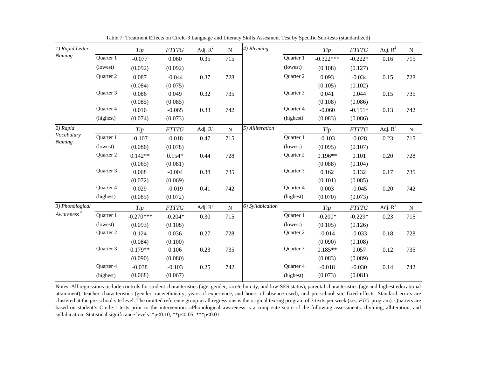| 1) Rapid Letter        |           | Tip         | <b>FTTTG</b> | Adj. $R^2$ | ${\bf N}$ | 4) Rhyming       |           | <b>Tip</b>  | <b>FTTTG</b> | Adj. $R^2$ | $\mathbf N$ |
|------------------------|-----------|-------------|--------------|------------|-----------|------------------|-----------|-------------|--------------|------------|-------------|
| Naming                 | Quarter 1 | $-0.077$    | 0.060        | 0.35       | 715       |                  | Quarter 1 | $-0.322***$ | $-0.222*$    | 0.16       | 715         |
|                        | (lowest)  | (0.092)     | (0.092)      |            |           |                  | (lowest)  | (0.108)     | (0.127)      |            |             |
|                        | Quarter 2 | 0.087       | $-0.044$     | 0.37       | 728       |                  | Quarter 2 | 0.093       | $-0.034$     | 0.15       | 728         |
|                        |           | (0.084)     | (0.075)      |            |           |                  |           | (0.105)     | (0.102)      |            |             |
|                        | Quarter 3 | 0.086       | 0.049        | 0.32       | 735       |                  | Quarter 3 | 0.041       | 0.044        | 0.15       | 735         |
|                        |           | (0.085)     | (0.085)      |            |           |                  |           | (0.108)     | (0.086)      |            |             |
|                        | Quarter 4 | 0.016       | $-0.065$     | 0.33       | 742       |                  | Quarter 4 | $-0.060$    | $-0.151*$    | 0.13       | 742         |
|                        | (highest) | (0.074)     | (0.073)      |            |           |                  | (highest) | (0.083)     | (0.086)      |            |             |
| 2) Rapid               |           | Tip         | <b>FTTTG</b> | Adj. $R^2$ | ${\bf N}$ | 5) Alliteration  |           | Tip         | <b>FTTTG</b> | Adj. $R^2$ | ${\bf N}$   |
| Vocabulary             | Quarter 1 | $-0.107$    | $-0.018$     | 0.47       | 715       |                  | Quarter 1 | $-0.103$    | $-0.028$     | 0.23       | 715         |
| Naming                 | (lowest)  | (0.086)     | (0.078)      |            |           |                  | (lowest)  | (0.095)     | (0.107)      |            |             |
|                        | Quarter 2 | $0.142**$   | $0.154*$     | 0.44       | 728       |                  | Quarter 2 | $0.196**$   | 0.101        | 0.20       | 728         |
|                        |           | (0.065)     | (0.081)      |            |           |                  |           | (0.088)     | (0.104)      |            |             |
|                        | Quarter 3 | 0.068       | $-0.004$     | 0.38       | 735       |                  | Quarter 3 | 0.162       | 0.132        | 0.17       | 735         |
|                        |           | (0.072)     | (0.069)      |            |           |                  |           | (0.101)     | (0.085)      |            |             |
|                        | Quarter 4 | 0.029       | $-0.019$     | 0.41       | 742       |                  | Quarter 4 | 0.003       | $-0.045$     | 0.20       | 742         |
|                        | (highest) | (0.085)     | (0.072)      |            |           |                  | (highest) | (0.070)     | (0.073)      |            |             |
| 3) Phonological        |           | Tip         | $FTTTG$      | Adj. $R^2$ | ${\bf N}$ | 6) Syllabication |           | <b>Tip</b>  | <b>FTTTG</b> | Adj. $R^2$ | ${\bf N}$   |
| Awareness <sup>a</sup> | Quarter 1 | $-0.270***$ | $-0.204*$    | 0.30       | 715       |                  | Quarter 1 | $-0.200*$   | $-0.229*$    | 0.23       | 715         |
|                        | (lowest)  | (0.093)     | (0.108)      |            |           |                  | (lowest)  | (0.105)     | (0.126)      |            |             |
|                        | Quarter 2 | 0.124       | 0.036        | 0.27       | 728       |                  | Quarter 2 | $-0.014$    | $-0.033$     | 0.18       | 728         |
|                        |           | (0.084)     | (0.100)      |            |           |                  |           | (0.090)     | (0.108)      |            |             |
|                        | Quarter 3 | $0.179**$   | 0.106        | 0.23       | 735       |                  | Quarter 3 | $0.185**$   | 0.057        | 0.12       | 735         |
|                        |           | (0.090)     | (0.080)      |            |           |                  |           | (0.083)     | (0.089)      |            |             |
|                        | Quarter 4 | $-0.038$    | $-0.103$     | 0.25       | 742       |                  | Quarter 4 | $-0.018$    | $-0.030$     | 0.14       | 742         |
|                        | (highest) | (0.068)     | (0.067)      |            |           |                  | (highest) | (0.073)     | (0.081)      |            |             |

Table 7: Treatment Effects on Circle-3 Language and Literacy Skills Assesment Test by Specific Sub-tests (standardized)

Notes: All regressions include controls for student characteristics (age, gender, race/ethnicity, and low-SES status), parental characteristics (age and highest educational attainment), teacher characteristics (gender, race/ethnicity, years of experience, and hours of absence used), and pre-school site fixed effects. Standard errors are clustered at the pre-school site level. The omitted reference group in all regressions is the original texting program of 3 texts per week (i.e., *FTG* program). Quarters are based on student's Circle-1 tests prior to the intervention. aPhonological awareness is <sup>a</sup> composite score of the following assessments: rhyming, alliteration, and syllabication. Statistical significance levels: \*p<0.10; \*\*p<0.05; \*\*\*p<0.01.